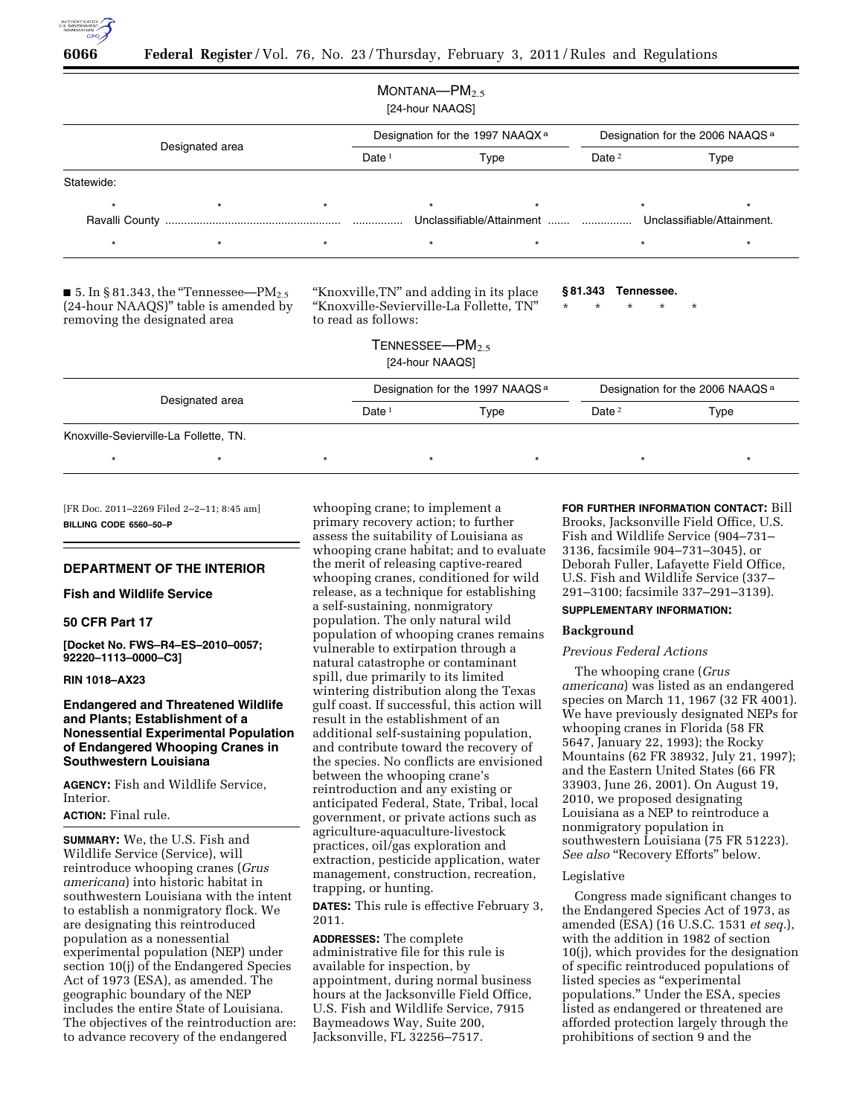

| Designated area |         |         |          |         | Designation for the 1997 NAAQX <sup>a</sup> | Designation for the 2006 NAAQS <sup>a</sup> |         |         |
|-----------------|---------|---------|----------|---------|---------------------------------------------|---------------------------------------------|---------|---------|
|                 |         |         | Date $1$ | Type    |                                             | Date $2$                                    | Type    |         |
| Statewide:      |         |         |          |         |                                             |                                             |         |         |
| $\star$         | $\star$ | $\star$ |          | $\star$ | $\star$                                     |                                             | $\star$ | $\star$ |
|                 |         |         |          |         |                                             |                                             |         |         |
| $\star$         | $\star$ | $\star$ |          | $\star$ | $^\star$                                    |                                             | $\star$ | $\star$ |

(24-hour NAAQS)'' table is amended by removing the designated area

''Knoxville-Sevierville-La Follette, TN'' to read as follows:

\* \* \* \* \*

TENNESSEE—PM<sub>2.5</sub> [24-hour NAAQS]

|                                        |                 |  | Designation for the 1997 NAAQS <sup>a</sup> |  |          | Designation for the 2006 NAAQS <sup>a</sup> |  |  |  |
|----------------------------------------|-----------------|--|---------------------------------------------|--|----------|---------------------------------------------|--|--|--|
|                                        | Designated area |  | Date <sup>1</sup><br>Type                   |  | Date $2$ | Type                                        |  |  |  |
| Knoxville-Sevierville-La Follette, TN. |                 |  |                                             |  |          |                                             |  |  |  |
|                                        |                 |  |                                             |  |          |                                             |  |  |  |

[FR Doc. 2011–2269 Filed 2–2–11; 8:45 am] **BILLING CODE 6560–50–P** 

# **DEPARTMENT OF THE INTERIOR**

# **Fish and Wildlife Service**

# **50 CFR Part 17**

**[Docket No. FWS–R4–ES–2010–0057; 92220–1113–0000–C3]** 

# **RIN 1018–AX23**

# **Endangered and Threatened Wildlife and Plants; Establishment of a Nonessential Experimental Population of Endangered Whooping Cranes in Southwestern Louisiana**

**AGENCY:** Fish and Wildlife Service, Interior.

# **ACTION:** Final rule.

**SUMMARY:** We, the U.S. Fish and Wildlife Service (Service), will reintroduce whooping cranes (*Grus americana*) into historic habitat in southwestern Louisiana with the intent to establish a nonmigratory flock. We are designating this reintroduced population as a nonessential experimental population (NEP) under section 10(j) of the Endangered Species Act of 1973 (ESA), as amended. The geographic boundary of the NEP includes the entire State of Louisiana. The objectives of the reintroduction are: to advance recovery of the endangered

whooping crane; to implement a primary recovery action; to further assess the suitability of Louisiana as whooping crane habitat; and to evaluate the merit of releasing captive-reared whooping cranes, conditioned for wild release, as a technique for establishing a self-sustaining, nonmigratory population. The only natural wild population of whooping cranes remains vulnerable to extirpation through a natural catastrophe or contaminant spill, due primarily to its limited wintering distribution along the Texas gulf coast. If successful, this action will result in the establishment of an additional self-sustaining population, and contribute toward the recovery of the species. No conflicts are envisioned between the whooping crane's reintroduction and any existing or anticipated Federal, State, Tribal, local government, or private actions such as agriculture-aquaculture-livestock practices, oil/gas exploration and extraction, pesticide application, water management, construction, recreation, trapping, or hunting.

**DATES:** This rule is effective February 3, 2011.

**ADDRESSES:** The complete administrative file for this rule is available for inspection, by appointment, during normal business hours at the Jacksonville Field Office, U.S. Fish and Wildlife Service, 7915 Baymeadows Way, Suite 200, Jacksonville, FL 32256–7517.

**FOR FURTHER INFORMATION CONTACT:** Bill Brooks, Jacksonville Field Office, U.S. Fish and Wildlife Service (904–731– 3136, facsimile 904–731–3045), or Deborah Fuller, Lafayette Field Office, U.S. Fish and Wildlife Service (337– 291–3100; facsimile 337–291–3139).

# **SUPPLEMENTARY INFORMATION:**

### **Background**

# *Previous Federal Actions*

The whooping crane (*Grus americana*) was listed as an endangered species on March 11, 1967 (32 FR 4001). We have previously designated NEPs for whooping cranes in Florida (58 FR 5647, January 22, 1993); the Rocky Mountains (62 FR 38932, July 21, 1997); and the Eastern United States (66 FR 33903, June 26, 2001). On August 19, 2010, we proposed designating Louisiana as a NEP to reintroduce a nonmigratory population in southwestern Louisiana (75 FR 51223). *See also* "Recovery Efforts" below.

#### Legislative

Congress made significant changes to the Endangered Species Act of 1973, as amended (ESA) (16 U.S.C. 1531 *et seq.*), with the addition in 1982 of section 10(j), which provides for the designation of specific reintroduced populations of listed species as "experimental populations.'' Under the ESA, species listed as endangered or threatened are afforded protection largely through the prohibitions of section 9 and the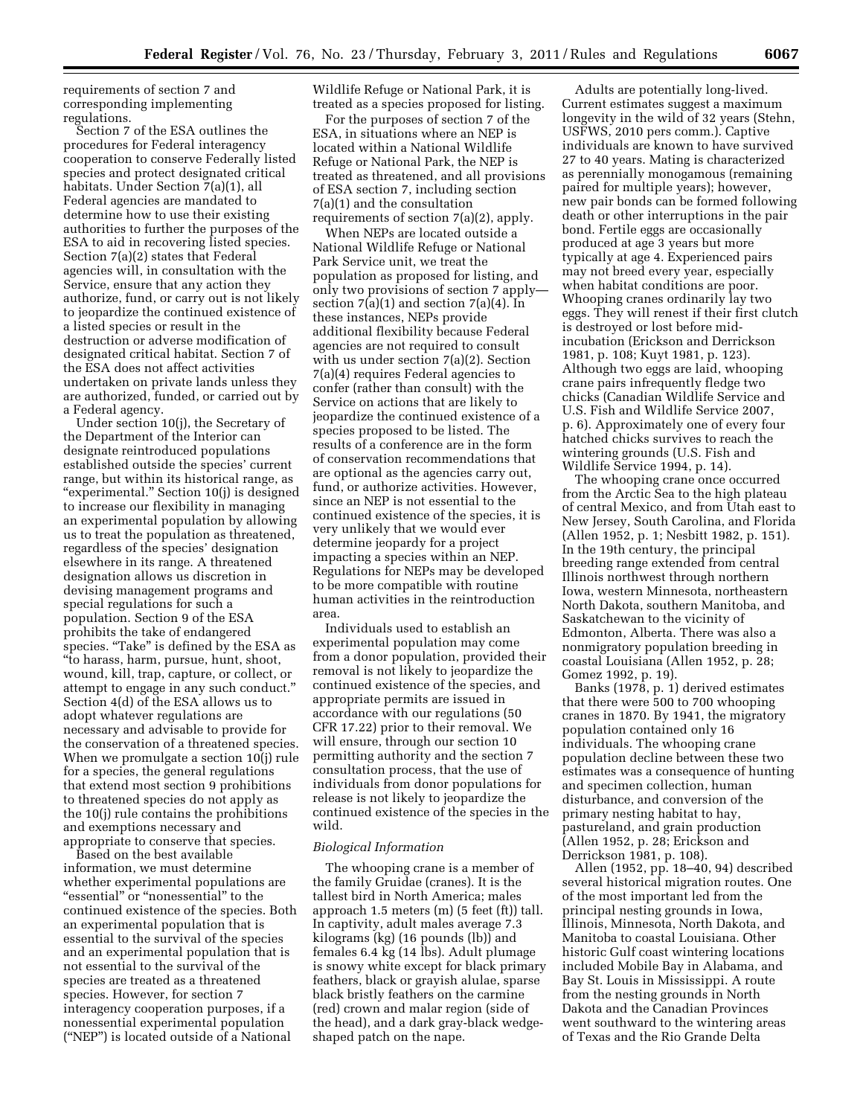requirements of section 7 and corresponding implementing regulations.

Section 7 of the ESA outlines the procedures for Federal interagency cooperation to conserve Federally listed species and protect designated critical habitats. Under Section 7(a)(1), all Federal agencies are mandated to determine how to use their existing authorities to further the purposes of the ESA to aid in recovering listed species. Section 7(a)(2) states that Federal agencies will, in consultation with the Service, ensure that any action they authorize, fund, or carry out is not likely to jeopardize the continued existence of a listed species or result in the destruction or adverse modification of designated critical habitat. Section 7 of the ESA does not affect activities undertaken on private lands unless they are authorized, funded, or carried out by a Federal agency.

Under section 10(j), the Secretary of the Department of the Interior can designate reintroduced populations established outside the species' current range, but within its historical range, as ''experimental.'' Section 10(j) is designed to increase our flexibility in managing an experimental population by allowing us to treat the population as threatened, regardless of the species' designation elsewhere in its range. A threatened designation allows us discretion in devising management programs and special regulations for such a population. Section 9 of the ESA prohibits the take of endangered species. "Take" is defined by the ESA as ''to harass, harm, pursue, hunt, shoot, wound, kill, trap, capture, or collect, or attempt to engage in any such conduct.'' Section 4(d) of the ESA allows us to adopt whatever regulations are necessary and advisable to provide for the conservation of a threatened species. When we promulgate a section 10(j) rule for a species, the general regulations that extend most section 9 prohibitions to threatened species do not apply as the 10(j) rule contains the prohibitions and exemptions necessary and appropriate to conserve that species.

Based on the best available information, we must determine whether experimental populations are "essential" or "nonessential" to the continued existence of the species. Both an experimental population that is essential to the survival of the species and an experimental population that is not essential to the survival of the species are treated as a threatened species. However, for section 7 interagency cooperation purposes, if a nonessential experimental population (''NEP'') is located outside of a National

Wildlife Refuge or National Park, it is treated as a species proposed for listing.

For the purposes of section 7 of the ESA, in situations where an NEP is located within a National Wildlife Refuge or National Park, the NEP is treated as threatened, and all provisions of ESA section 7, including section 7(a)(1) and the consultation requirements of section 7(a)(2), apply.

When NEPs are located outside a National Wildlife Refuge or National Park Service unit, we treat the population as proposed for listing, and only two provisions of section 7 apply section  $7(a)(1)$  and section  $7(a)(4)$ . In these instances, NEPs provide additional flexibility because Federal agencies are not required to consult with us under section 7(a)(2). Section 7(a)(4) requires Federal agencies to confer (rather than consult) with the Service on actions that are likely to jeopardize the continued existence of a species proposed to be listed. The results of a conference are in the form of conservation recommendations that are optional as the agencies carry out, fund, or authorize activities. However, since an NEP is not essential to the continued existence of the species, it is very unlikely that we would ever determine jeopardy for a project impacting a species within an NEP. Regulations for NEPs may be developed to be more compatible with routine human activities in the reintroduction area.

Individuals used to establish an experimental population may come from a donor population, provided their removal is not likely to jeopardize the continued existence of the species, and appropriate permits are issued in accordance with our regulations (50 CFR 17.22) prior to their removal. We will ensure, through our section 10 permitting authority and the section 7 consultation process, that the use of individuals from donor populations for release is not likely to jeopardize the continued existence of the species in the wild.

### *Biological Information*

The whooping crane is a member of the family Gruidae (cranes). It is the tallest bird in North America; males approach 1.5 meters (m) (5 feet (ft)) tall. In captivity, adult males average 7.3 kilograms (kg) (16 pounds (lb)) and females 6.4 kg (14 lbs). Adult plumage is snowy white except for black primary feathers, black or grayish alulae, sparse black bristly feathers on the carmine (red) crown and malar region (side of the head), and a dark gray-black wedgeshaped patch on the nape.

Adults are potentially long-lived. Current estimates suggest a maximum longevity in the wild of 32 years (Stehn, USFWS, 2010 pers comm.). Captive individuals are known to have survived 27 to 40 years. Mating is characterized as perennially monogamous (remaining paired for multiple years); however, new pair bonds can be formed following death or other interruptions in the pair bond. Fertile eggs are occasionally produced at age 3 years but more typically at age 4. Experienced pairs may not breed every year, especially when habitat conditions are poor. Whooping cranes ordinarily lay two eggs. They will renest if their first clutch is destroyed or lost before midincubation (Erickson and Derrickson 1981, p. 108; Kuyt 1981, p. 123). Although two eggs are laid, whooping crane pairs infrequently fledge two chicks (Canadian Wildlife Service and U.S. Fish and Wildlife Service 2007, p. 6). Approximately one of every four hatched chicks survives to reach the wintering grounds (U.S. Fish and Wildlife Service 1994, p. 14).

The whooping crane once occurred from the Arctic Sea to the high plateau of central Mexico, and from Utah east to New Jersey, South Carolina, and Florida (Allen 1952, p. 1; Nesbitt 1982, p. 151). In the 19th century, the principal breeding range extended from central Illinois northwest through northern Iowa, western Minnesota, northeastern North Dakota, southern Manitoba, and Saskatchewan to the vicinity of Edmonton, Alberta. There was also a nonmigratory population breeding in coastal Louisiana (Allen 1952, p. 28; Gomez 1992, p. 19).

Banks (1978, p. 1) derived estimates that there were 500 to 700 whooping cranes in 1870. By 1941, the migratory population contained only 16 individuals. The whooping crane population decline between these two estimates was a consequence of hunting and specimen collection, human disturbance, and conversion of the primary nesting habitat to hay, pastureland, and grain production (Allen 1952, p. 28; Erickson and Derrickson 1981, p. 108).

Allen (1952, pp. 18–40, 94) described several historical migration routes. One of the most important led from the principal nesting grounds in Iowa, Illinois, Minnesota, North Dakota, and Manitoba to coastal Louisiana. Other historic Gulf coast wintering locations included Mobile Bay in Alabama, and Bay St. Louis in Mississippi. A route from the nesting grounds in North Dakota and the Canadian Provinces went southward to the wintering areas of Texas and the Rio Grande Delta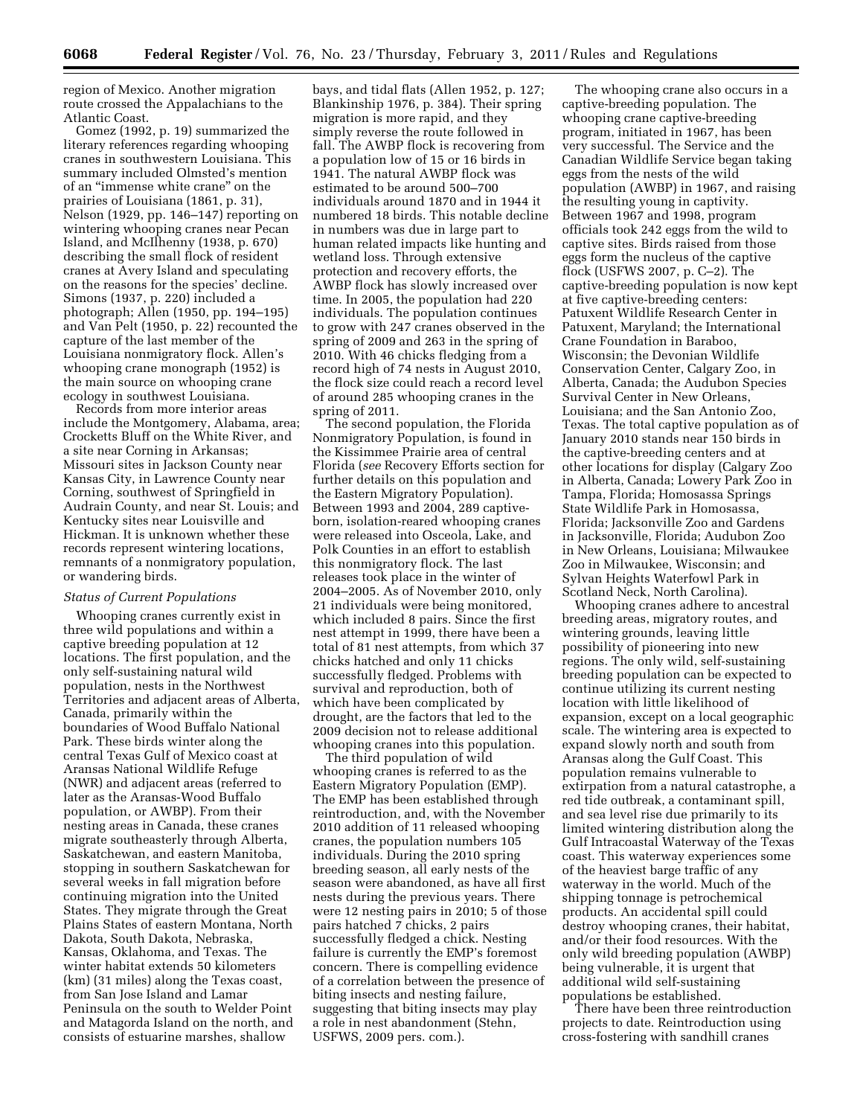region of Mexico. Another migration route crossed the Appalachians to the Atlantic Coast.

Gomez (1992, p. 19) summarized the literary references regarding whooping cranes in southwestern Louisiana. This summary included Olmsted's mention of an ''immense white crane'' on the prairies of Louisiana (1861, p. 31), Nelson (1929, pp. 146–147) reporting on wintering whooping cranes near Pecan Island, and McIlhenny (1938, p. 670) describing the small flock of resident cranes at Avery Island and speculating on the reasons for the species' decline. Simons (1937, p. 220) included a photograph; Allen (1950, pp. 194–195) and Van Pelt (1950, p. 22) recounted the capture of the last member of the Louisiana nonmigratory flock. Allen's whooping crane monograph (1952) is the main source on whooping crane ecology in southwest Louisiana.

Records from more interior areas include the Montgomery, Alabama, area; Crocketts Bluff on the White River, and a site near Corning in Arkansas; Missouri sites in Jackson County near Kansas City, in Lawrence County near Corning, southwest of Springfield in Audrain County, and near St. Louis; and Kentucky sites near Louisville and Hickman. It is unknown whether these records represent wintering locations, remnants of a nonmigratory population, or wandering birds.

#### *Status of Current Populations*

Whooping cranes currently exist in three wild populations and within a captive breeding population at 12 locations. The first population, and the only self-sustaining natural wild population, nests in the Northwest Territories and adjacent areas of Alberta, Canada, primarily within the boundaries of Wood Buffalo National Park. These birds winter along the central Texas Gulf of Mexico coast at Aransas National Wildlife Refuge (NWR) and adjacent areas (referred to later as the Aransas-Wood Buffalo population, or AWBP). From their nesting areas in Canada, these cranes migrate southeasterly through Alberta, Saskatchewan, and eastern Manitoba, stopping in southern Saskatchewan for several weeks in fall migration before continuing migration into the United States. They migrate through the Great Plains States of eastern Montana, North Dakota, South Dakota, Nebraska, Kansas, Oklahoma, and Texas. The winter habitat extends 50 kilometers (km) (31 miles) along the Texas coast, from San Jose Island and Lamar Peninsula on the south to Welder Point and Matagorda Island on the north, and consists of estuarine marshes, shallow

bays, and tidal flats (Allen 1952, p. 127; Blankinship 1976, p. 384). Their spring migration is more rapid, and they simply reverse the route followed in fall. The AWBP flock is recovering from a population low of 15 or 16 birds in 1941. The natural AWBP flock was estimated to be around 500–700 individuals around 1870 and in 1944 it numbered 18 birds. This notable decline in numbers was due in large part to human related impacts like hunting and wetland loss. Through extensive protection and recovery efforts, the AWBP flock has slowly increased over time. In 2005, the population had 220 individuals. The population continues to grow with 247 cranes observed in the spring of 2009 and 263 in the spring of 2010. With 46 chicks fledging from a record high of 74 nests in August 2010, the flock size could reach a record level of around 285 whooping cranes in the spring of 2011.

The second population, the Florida Nonmigratory Population, is found in the Kissimmee Prairie area of central Florida (*see* Recovery Efforts section for further details on this population and the Eastern Migratory Population). Between 1993 and 2004, 289 captiveborn, isolation-reared whooping cranes were released into Osceola, Lake, and Polk Counties in an effort to establish this nonmigratory flock. The last releases took place in the winter of 2004–2005. As of November 2010, only 21 individuals were being monitored, which included 8 pairs. Since the first nest attempt in 1999, there have been a total of 81 nest attempts, from which 37 chicks hatched and only 11 chicks successfully fledged. Problems with survival and reproduction, both of which have been complicated by drought, are the factors that led to the 2009 decision not to release additional whooping cranes into this population.

The third population of wild whooping cranes is referred to as the Eastern Migratory Population (EMP). The EMP has been established through reintroduction, and, with the November 2010 addition of 11 released whooping cranes, the population numbers 105 individuals. During the 2010 spring breeding season, all early nests of the season were abandoned, as have all first nests during the previous years. There were 12 nesting pairs in 2010; 5 of those pairs hatched 7 chicks, 2 pairs successfully fledged a chick. Nesting failure is currently the EMP's foremost concern. There is compelling evidence of a correlation between the presence of biting insects and nesting failure, suggesting that biting insects may play a role in nest abandonment (Stehn, USFWS, 2009 pers. com.).

The whooping crane also occurs in a captive-breeding population. The whooping crane captive-breeding program, initiated in 1967, has been very successful. The Service and the Canadian Wildlife Service began taking eggs from the nests of the wild population (AWBP) in 1967, and raising the resulting young in captivity. Between 1967 and 1998, program officials took 242 eggs from the wild to captive sites. Birds raised from those eggs form the nucleus of the captive flock (USFWS 2007, p. C–2). The captive-breeding population is now kept at five captive-breeding centers: Patuxent Wildlife Research Center in Patuxent, Maryland; the International Crane Foundation in Baraboo, Wisconsin; the Devonian Wildlife Conservation Center, Calgary Zoo, in Alberta, Canada; the Audubon Species Survival Center in New Orleans, Louisiana; and the San Antonio Zoo, Texas. The total captive population as of January 2010 stands near 150 birds in the captive-breeding centers and at other locations for display (Calgary Zoo in Alberta, Canada; Lowery Park Zoo in Tampa, Florida; Homosassa Springs State Wildlife Park in Homosassa, Florida; Jacksonville Zoo and Gardens in Jacksonville, Florida; Audubon Zoo in New Orleans, Louisiana; Milwaukee Zoo in Milwaukee, Wisconsin; and Sylvan Heights Waterfowl Park in Scotland Neck, North Carolina).

Whooping cranes adhere to ancestral breeding areas, migratory routes, and wintering grounds, leaving little possibility of pioneering into new regions. The only wild, self-sustaining breeding population can be expected to continue utilizing its current nesting location with little likelihood of expansion, except on a local geographic scale. The wintering area is expected to expand slowly north and south from Aransas along the Gulf Coast. This population remains vulnerable to extirpation from a natural catastrophe, a red tide outbreak, a contaminant spill, and sea level rise due primarily to its limited wintering distribution along the Gulf Intracoastal Waterway of the Texas coast. This waterway experiences some of the heaviest barge traffic of any waterway in the world. Much of the shipping tonnage is petrochemical products. An accidental spill could destroy whooping cranes, their habitat, and/or their food resources. With the only wild breeding population (AWBP) being vulnerable, it is urgent that additional wild self-sustaining populations be established.

There have been three reintroduction projects to date. Reintroduction using cross-fostering with sandhill cranes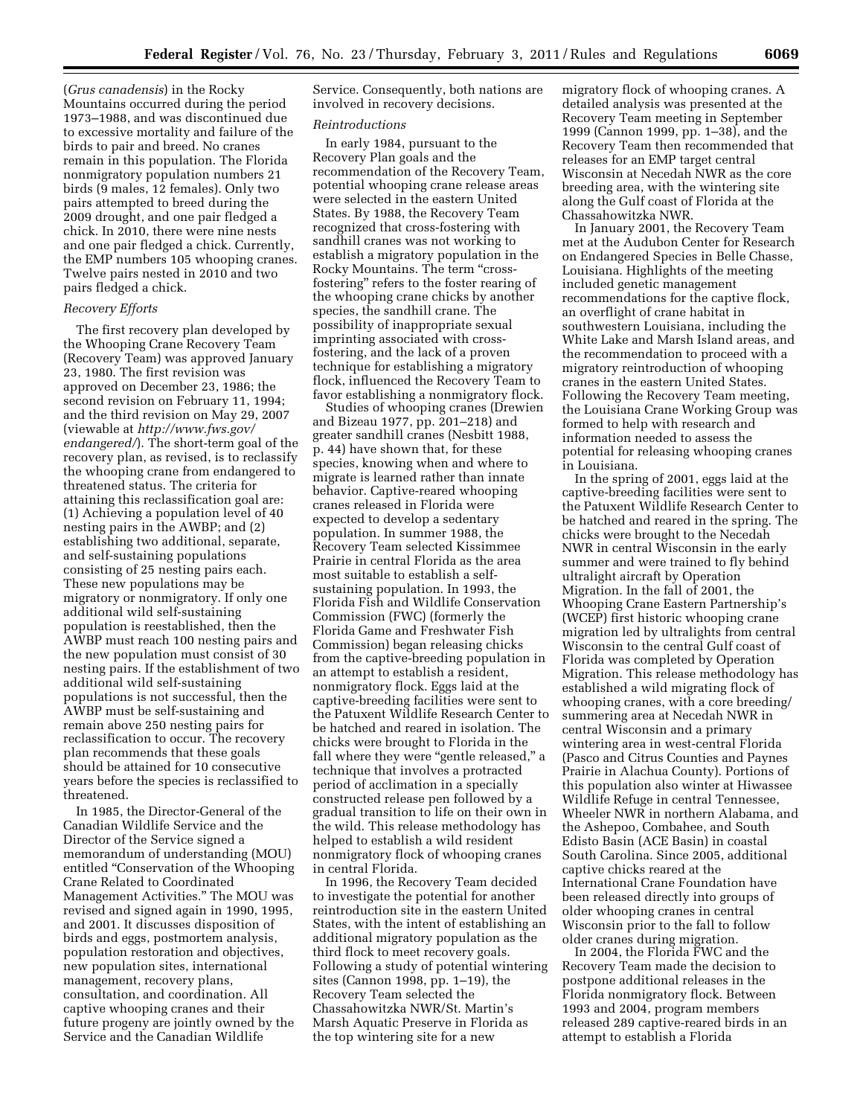(*Grus canadensis*) in the Rocky Mountains occurred during the period 1973–1988, and was discontinued due to excessive mortality and failure of the birds to pair and breed. No cranes remain in this population. The Florida nonmigratory population numbers 21 birds (9 males, 12 females). Only two pairs attempted to breed during the 2009 drought, and one pair fledged a chick. In 2010, there were nine nests and one pair fledged a chick. Currently, the EMP numbers 105 whooping cranes. Twelve pairs nested in 2010 and two pairs fledged a chick.

# *Recovery Efforts*

The first recovery plan developed by the Whooping Crane Recovery Team (Recovery Team) was approved January 23, 1980. The first revision was approved on December 23, 1986; the second revision on February 11, 1994; and the third revision on May 29, 2007 (viewable at *[http://www.fws.gov/](http://www.fws.gov/endangered/)  [endangered/](http://www.fws.gov/endangered/)*). The short-term goal of the recovery plan, as revised, is to reclassify the whooping crane from endangered to threatened status. The criteria for attaining this reclassification goal are: (1) Achieving a population level of 40 nesting pairs in the AWBP; and (2) establishing two additional, separate, and self-sustaining populations consisting of 25 nesting pairs each. These new populations may be migratory or nonmigratory. If only one additional wild self-sustaining population is reestablished, then the AWBP must reach 100 nesting pairs and the new population must consist of 30 nesting pairs. If the establishment of two additional wild self-sustaining populations is not successful, then the AWBP must be self-sustaining and remain above 250 nesting pairs for reclassification to occur. The recovery plan recommends that these goals should be attained for 10 consecutive years before the species is reclassified to threatened.

In 1985, the Director-General of the Canadian Wildlife Service and the Director of the Service signed a memorandum of understanding (MOU) entitled ''Conservation of the Whooping Crane Related to Coordinated Management Activities.'' The MOU was revised and signed again in 1990, 1995, and 2001. It discusses disposition of birds and eggs, postmortem analysis, population restoration and objectives, new population sites, international management, recovery plans, consultation, and coordination. All captive whooping cranes and their future progeny are jointly owned by the Service and the Canadian Wildlife

Service. Consequently, both nations are involved in recovery decisions.

#### *Reintroductions*

In early 1984, pursuant to the Recovery Plan goals and the recommendation of the Recovery Team, potential whooping crane release areas were selected in the eastern United States. By 1988, the Recovery Team recognized that cross-fostering with sandhill cranes was not working to establish a migratory population in the Rocky Mountains. The term ''crossfostering'' refers to the foster rearing of the whooping crane chicks by another species, the sandhill crane. The possibility of inappropriate sexual imprinting associated with crossfostering, and the lack of a proven technique for establishing a migratory flock, influenced the Recovery Team to favor establishing a nonmigratory flock.

Studies of whooping cranes (Drewien and Bizeau 1977, pp. 201–218) and greater sandhill cranes (Nesbitt 1988, p. 44) have shown that, for these species, knowing when and where to migrate is learned rather than innate behavior. Captive-reared whooping cranes released in Florida were expected to develop a sedentary population. In summer 1988, the Recovery Team selected Kissimmee Prairie in central Florida as the area most suitable to establish a selfsustaining population. In 1993, the Florida Fish and Wildlife Conservation Commission (FWC) (formerly the Florida Game and Freshwater Fish Commission) began releasing chicks from the captive-breeding population in an attempt to establish a resident, nonmigratory flock. Eggs laid at the captive-breeding facilities were sent to the Patuxent Wildlife Research Center to be hatched and reared in isolation. The chicks were brought to Florida in the fall where they were "gentle released," a technique that involves a protracted period of acclimation in a specially constructed release pen followed by a gradual transition to life on their own in the wild. This release methodology has helped to establish a wild resident nonmigratory flock of whooping cranes in central Florida.

In 1996, the Recovery Team decided to investigate the potential for another reintroduction site in the eastern United States, with the intent of establishing an additional migratory population as the third flock to meet recovery goals. Following a study of potential wintering sites (Cannon 1998, pp. 1–19), the Recovery Team selected the Chassahowitzka NWR/St. Martin's Marsh Aquatic Preserve in Florida as the top wintering site for a new

migratory flock of whooping cranes. A detailed analysis was presented at the Recovery Team meeting in September 1999 (Cannon 1999, pp. 1–38), and the Recovery Team then recommended that releases for an EMP target central Wisconsin at Necedah NWR as the core breeding area, with the wintering site along the Gulf coast of Florida at the Chassahowitzka NWR.

In January 2001, the Recovery Team met at the Audubon Center for Research on Endangered Species in Belle Chasse, Louisiana. Highlights of the meeting included genetic management recommendations for the captive flock, an overflight of crane habitat in southwestern Louisiana, including the White Lake and Marsh Island areas, and the recommendation to proceed with a migratory reintroduction of whooping cranes in the eastern United States. Following the Recovery Team meeting, the Louisiana Crane Working Group was formed to help with research and information needed to assess the potential for releasing whooping cranes in Louisiana.

In the spring of 2001, eggs laid at the captive-breeding facilities were sent to the Patuxent Wildlife Research Center to be hatched and reared in the spring. The chicks were brought to the Necedah NWR in central Wisconsin in the early summer and were trained to fly behind ultralight aircraft by Operation Migration. In the fall of 2001, the Whooping Crane Eastern Partnership's (WCEP) first historic whooping crane migration led by ultralights from central Wisconsin to the central Gulf coast of Florida was completed by Operation Migration. This release methodology has established a wild migrating flock of whooping cranes, with a core breeding/ summering area at Necedah NWR in central Wisconsin and a primary wintering area in west-central Florida (Pasco and Citrus Counties and Paynes Prairie in Alachua County). Portions of this population also winter at Hiwassee Wildlife Refuge in central Tennessee, Wheeler NWR in northern Alabama, and the Ashepoo, Combahee, and South Edisto Basin (ACE Basin) in coastal South Carolina. Since 2005, additional captive chicks reared at the International Crane Foundation have been released directly into groups of older whooping cranes in central Wisconsin prior to the fall to follow older cranes during migration.

In 2004, the Florida FWC and the Recovery Team made the decision to postpone additional releases in the Florida nonmigratory flock. Between 1993 and 2004, program members released 289 captive-reared birds in an attempt to establish a Florida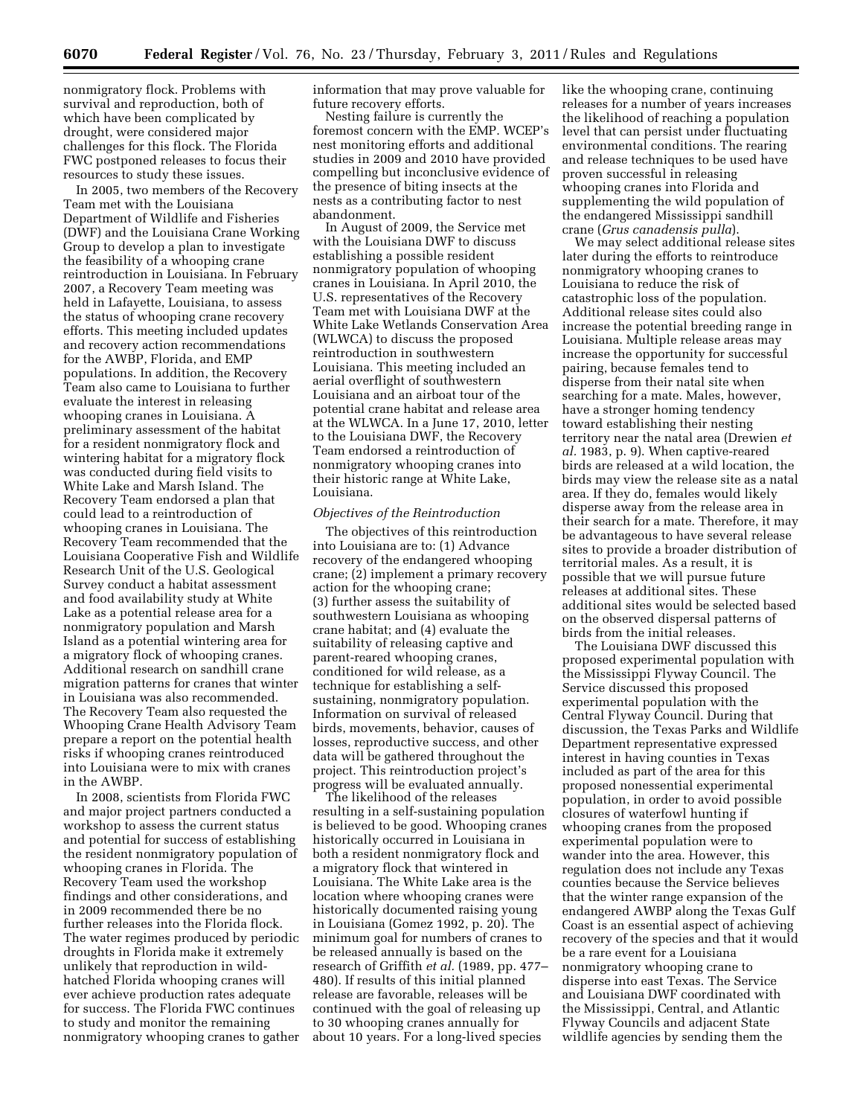nonmigratory flock. Problems with survival and reproduction, both of which have been complicated by drought, were considered major challenges for this flock. The Florida FWC postponed releases to focus their resources to study these issues.

In 2005, two members of the Recovery Team met with the Louisiana Department of Wildlife and Fisheries (DWF) and the Louisiana Crane Working Group to develop a plan to investigate the feasibility of a whooping crane reintroduction in Louisiana. In February 2007, a Recovery Team meeting was held in Lafayette, Louisiana, to assess the status of whooping crane recovery efforts. This meeting included updates and recovery action recommendations for the AWBP, Florida, and EMP populations. In addition, the Recovery Team also came to Louisiana to further evaluate the interest in releasing whooping cranes in Louisiana. A preliminary assessment of the habitat for a resident nonmigratory flock and wintering habitat for a migratory flock was conducted during field visits to White Lake and Marsh Island. The Recovery Team endorsed a plan that could lead to a reintroduction of whooping cranes in Louisiana. The Recovery Team recommended that the Louisiana Cooperative Fish and Wildlife Research Unit of the U.S. Geological Survey conduct a habitat assessment and food availability study at White Lake as a potential release area for a nonmigratory population and Marsh Island as a potential wintering area for a migratory flock of whooping cranes. Additional research on sandhill crane migration patterns for cranes that winter in Louisiana was also recommended. The Recovery Team also requested the Whooping Crane Health Advisory Team prepare a report on the potential health risks if whooping cranes reintroduced into Louisiana were to mix with cranes in the AWBP.

In 2008, scientists from Florida FWC and major project partners conducted a workshop to assess the current status and potential for success of establishing the resident nonmigratory population of whooping cranes in Florida. The Recovery Team used the workshop findings and other considerations, and in 2009 recommended there be no further releases into the Florida flock. The water regimes produced by periodic droughts in Florida make it extremely unlikely that reproduction in wildhatched Florida whooping cranes will ever achieve production rates adequate for success. The Florida FWC continues to study and monitor the remaining nonmigratory whooping cranes to gather information that may prove valuable for future recovery efforts.

Nesting failure is currently the foremost concern with the EMP. WCEP's nest monitoring efforts and additional studies in 2009 and 2010 have provided compelling but inconclusive evidence of the presence of biting insects at the nests as a contributing factor to nest abandonment.

In August of 2009, the Service met with the Louisiana DWF to discuss establishing a possible resident nonmigratory population of whooping cranes in Louisiana. In April 2010, the U.S. representatives of the Recovery Team met with Louisiana DWF at the White Lake Wetlands Conservation Area (WLWCA) to discuss the proposed reintroduction in southwestern Louisiana. This meeting included an aerial overflight of southwestern Louisiana and an airboat tour of the potential crane habitat and release area at the WLWCA. In a June 17, 2010, letter to the Louisiana DWF, the Recovery Team endorsed a reintroduction of nonmigratory whooping cranes into their historic range at White Lake, Louisiana.

# *Objectives of the Reintroduction*

The objectives of this reintroduction into Louisiana are to: (1) Advance recovery of the endangered whooping crane; (2) implement a primary recovery action for the whooping crane; (3) further assess the suitability of southwestern Louisiana as whooping crane habitat; and (4) evaluate the suitability of releasing captive and parent-reared whooping cranes, conditioned for wild release, as a technique for establishing a selfsustaining, nonmigratory population. Information on survival of released birds, movements, behavior, causes of losses, reproductive success, and other data will be gathered throughout the project. This reintroduction project's progress will be evaluated annually.

The likelihood of the releases resulting in a self-sustaining population is believed to be good. Whooping cranes historically occurred in Louisiana in both a resident nonmigratory flock and a migratory flock that wintered in Louisiana. The White Lake area is the location where whooping cranes were historically documented raising young in Louisiana (Gomez 1992, p. 20). The minimum goal for numbers of cranes to be released annually is based on the research of Griffith *et al.* (1989, pp. 477– 480). If results of this initial planned release are favorable, releases will be continued with the goal of releasing up to 30 whooping cranes annually for about 10 years. For a long-lived species

like the whooping crane, continuing releases for a number of years increases the likelihood of reaching a population level that can persist under fluctuating environmental conditions. The rearing and release techniques to be used have proven successful in releasing whooping cranes into Florida and supplementing the wild population of the endangered Mississippi sandhill crane (*Grus canadensis pulla*).

We may select additional release sites later during the efforts to reintroduce nonmigratory whooping cranes to Louisiana to reduce the risk of catastrophic loss of the population. Additional release sites could also increase the potential breeding range in Louisiana. Multiple release areas may increase the opportunity for successful pairing, because females tend to disperse from their natal site when searching for a mate. Males, however, have a stronger homing tendency toward establishing their nesting territory near the natal area (Drewien *et al.* 1983, p. 9). When captive-reared birds are released at a wild location, the birds may view the release site as a natal area. If they do, females would likely disperse away from the release area in their search for a mate. Therefore, it may be advantageous to have several release sites to provide a broader distribution of territorial males. As a result, it is possible that we will pursue future releases at additional sites. These additional sites would be selected based on the observed dispersal patterns of birds from the initial releases.

The Louisiana DWF discussed this proposed experimental population with the Mississippi Flyway Council. The Service discussed this proposed experimental population with the Central Flyway Council. During that discussion, the Texas Parks and Wildlife Department representative expressed interest in having counties in Texas included as part of the area for this proposed nonessential experimental population, in order to avoid possible closures of waterfowl hunting if whooping cranes from the proposed experimental population were to wander into the area. However, this regulation does not include any Texas counties because the Service believes that the winter range expansion of the endangered AWBP along the Texas Gulf Coast is an essential aspect of achieving recovery of the species and that it would be a rare event for a Louisiana nonmigratory whooping crane to disperse into east Texas. The Service and Louisiana DWF coordinated with the Mississippi, Central, and Atlantic Flyway Councils and adjacent State wildlife agencies by sending them the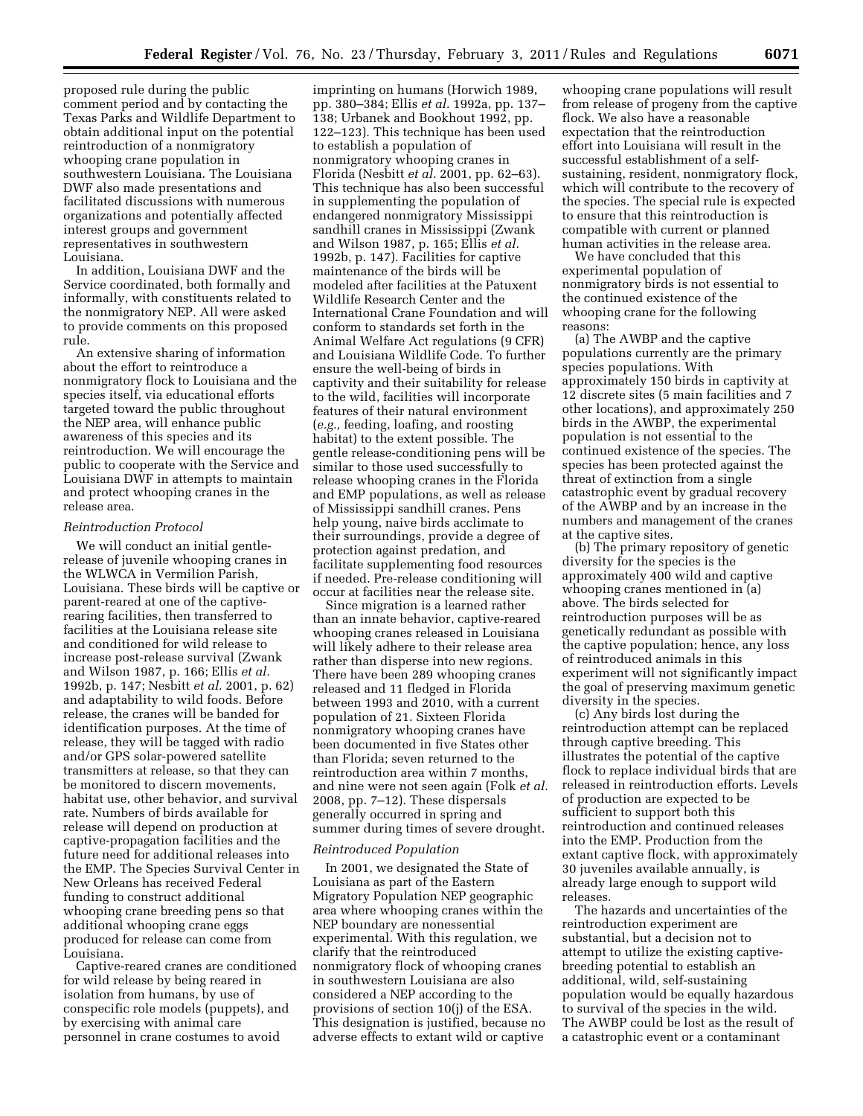proposed rule during the public comment period and by contacting the Texas Parks and Wildlife Department to obtain additional input on the potential reintroduction of a nonmigratory whooping crane population in southwestern Louisiana. The Louisiana DWF also made presentations and facilitated discussions with numerous organizations and potentially affected interest groups and government representatives in southwestern Louisiana.

In addition, Louisiana DWF and the Service coordinated, both formally and informally, with constituents related to the nonmigratory NEP. All were asked to provide comments on this proposed rule.

An extensive sharing of information about the effort to reintroduce a nonmigratory flock to Louisiana and the species itself, via educational efforts targeted toward the public throughout the NEP area, will enhance public awareness of this species and its reintroduction. We will encourage the public to cooperate with the Service and Louisiana DWF in attempts to maintain and protect whooping cranes in the release area.

### *Reintroduction Protocol*

We will conduct an initial gentlerelease of juvenile whooping cranes in the WLWCA in Vermilion Parish, Louisiana. These birds will be captive or parent-reared at one of the captiverearing facilities, then transferred to facilities at the Louisiana release site and conditioned for wild release to increase post-release survival (Zwank and Wilson 1987, p. 166; Ellis *et al.*  1992b, p. 147; Nesbitt *et al.* 2001, p. 62) and adaptability to wild foods. Before release, the cranes will be banded for identification purposes. At the time of release, they will be tagged with radio and/or GPS solar-powered satellite transmitters at release, so that they can be monitored to discern movements, habitat use, other behavior, and survival rate. Numbers of birds available for release will depend on production at captive-propagation facilities and the future need for additional releases into the EMP. The Species Survival Center in New Orleans has received Federal funding to construct additional whooping crane breeding pens so that additional whooping crane eggs produced for release can come from Louisiana.

Captive-reared cranes are conditioned for wild release by being reared in isolation from humans, by use of conspecific role models (puppets), and by exercising with animal care personnel in crane costumes to avoid

imprinting on humans (Horwich 1989, pp. 380–384; Ellis *et al.* 1992a, pp. 137– 138; Urbanek and Bookhout 1992, pp. 122–123). This technique has been used to establish a population of nonmigratory whooping cranes in Florida (Nesbitt *et al.* 2001, pp. 62–63). This technique has also been successful in supplementing the population of endangered nonmigratory Mississippi sandhill cranes in Mississippi (Zwank and Wilson 1987, p. 165; Ellis *et al.*  1992b, p. 147). Facilities for captive maintenance of the birds will be modeled after facilities at the Patuxent Wildlife Research Center and the International Crane Foundation and will conform to standards set forth in the Animal Welfare Act regulations (9 CFR) and Louisiana Wildlife Code. To further ensure the well-being of birds in captivity and their suitability for release to the wild, facilities will incorporate features of their natural environment (*e.g.,* feeding, loafing, and roosting habitat) to the extent possible. The gentle release-conditioning pens will be similar to those used successfully to release whooping cranes in the Florida and EMP populations, as well as release of Mississippi sandhill cranes. Pens help young, naive birds acclimate to their surroundings, provide a degree of protection against predation, and facilitate supplementing food resources if needed. Pre-release conditioning will occur at facilities near the release site.

Since migration is a learned rather than an innate behavior, captive-reared whooping cranes released in Louisiana will likely adhere to their release area rather than disperse into new regions. There have been 289 whooping cranes released and 11 fledged in Florida between 1993 and 2010, with a current population of 21. Sixteen Florida nonmigratory whooping cranes have been documented in five States other than Florida; seven returned to the reintroduction area within 7 months, and nine were not seen again (Folk *et al.*  2008, pp. 7–12). These dispersals generally occurred in spring and summer during times of severe drought.

### *Reintroduced Population*

In 2001, we designated the State of Louisiana as part of the Eastern Migratory Population NEP geographic area where whooping cranes within the NEP boundary are nonessential experimental. With this regulation, we clarify that the reintroduced nonmigratory flock of whooping cranes in southwestern Louisiana are also considered a NEP according to the provisions of section 10(j) of the ESA. This designation is justified, because no adverse effects to extant wild or captive

whooping crane populations will result from release of progeny from the captive flock. We also have a reasonable expectation that the reintroduction effort into Louisiana will result in the successful establishment of a selfsustaining, resident, nonmigratory flock, which will contribute to the recovery of the species. The special rule is expected to ensure that this reintroduction is compatible with current or planned human activities in the release area.

We have concluded that this experimental population of nonmigratory birds is not essential to the continued existence of the whooping crane for the following reasons:

(a) The AWBP and the captive populations currently are the primary species populations. With approximately 150 birds in captivity at 12 discrete sites (5 main facilities and 7 other locations), and approximately 250 birds in the AWBP, the experimental population is not essential to the continued existence of the species. The species has been protected against the threat of extinction from a single catastrophic event by gradual recovery of the AWBP and by an increase in the numbers and management of the cranes at the captive sites.

(b) The primary repository of genetic diversity for the species is the approximately 400 wild and captive whooping cranes mentioned in (a) above. The birds selected for reintroduction purposes will be as genetically redundant as possible with the captive population; hence, any loss of reintroduced animals in this experiment will not significantly impact the goal of preserving maximum genetic diversity in the species.

(c) Any birds lost during the reintroduction attempt can be replaced through captive breeding. This illustrates the potential of the captive flock to replace individual birds that are released in reintroduction efforts. Levels of production are expected to be sufficient to support both this reintroduction and continued releases into the EMP. Production from the extant captive flock, with approximately 30 juveniles available annually, is already large enough to support wild releases.

The hazards and uncertainties of the reintroduction experiment are substantial, but a decision not to attempt to utilize the existing captivebreeding potential to establish an additional, wild, self-sustaining population would be equally hazardous to survival of the species in the wild. The AWBP could be lost as the result of a catastrophic event or a contaminant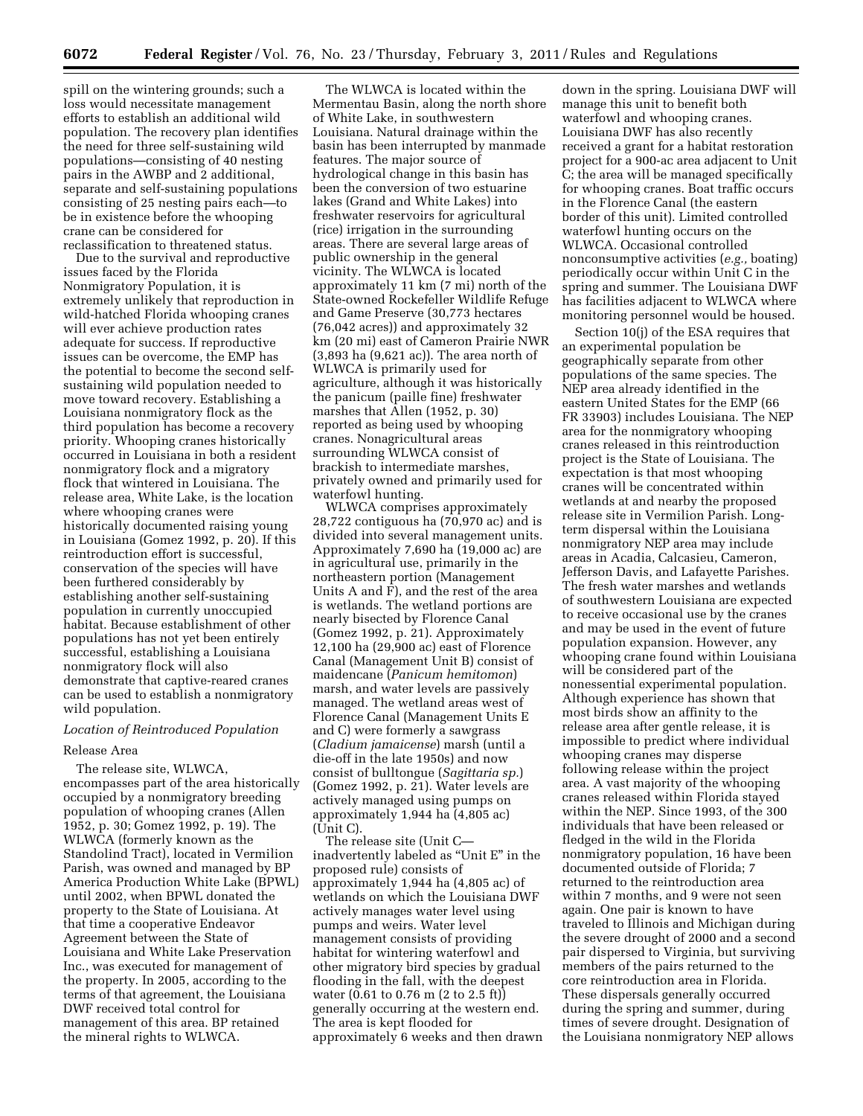spill on the wintering grounds; such a loss would necessitate management efforts to establish an additional wild population. The recovery plan identifies the need for three self-sustaining wild populations—consisting of 40 nesting pairs in the AWBP and 2 additional, separate and self-sustaining populations consisting of 25 nesting pairs each—to be in existence before the whooping crane can be considered for reclassification to threatened status.

Due to the survival and reproductive issues faced by the Florida Nonmigratory Population, it is extremely unlikely that reproduction in wild-hatched Florida whooping cranes will ever achieve production rates adequate for success. If reproductive issues can be overcome, the EMP has the potential to become the second selfsustaining wild population needed to move toward recovery. Establishing a Louisiana nonmigratory flock as the third population has become a recovery priority. Whooping cranes historically occurred in Louisiana in both a resident nonmigratory flock and a migratory flock that wintered in Louisiana. The release area, White Lake, is the location where whooping cranes were historically documented raising young in Louisiana (Gomez 1992, p. 20). If this reintroduction effort is successful, conservation of the species will have been furthered considerably by establishing another self-sustaining population in currently unoccupied habitat. Because establishment of other populations has not yet been entirely successful, establishing a Louisiana nonmigratory flock will also demonstrate that captive-reared cranes can be used to establish a nonmigratory wild population.

# *Location of Reintroduced Population*

# Release Area

The release site, WLWCA, encompasses part of the area historically occupied by a nonmigratory breeding population of whooping cranes (Allen 1952, p. 30; Gomez 1992, p. 19). The WLWCA (formerly known as the Standolind Tract), located in Vermilion Parish, was owned and managed by BP America Production White Lake (BPWL) until 2002, when BPWL donated the property to the State of Louisiana. At that time a cooperative Endeavor Agreement between the State of Louisiana and White Lake Preservation Inc., was executed for management of the property. In 2005, according to the terms of that agreement, the Louisiana DWF received total control for management of this area. BP retained the mineral rights to WLWCA.

The WLWCA is located within the Mermentau Basin, along the north shore of White Lake, in southwestern Louisiana. Natural drainage within the basin has been interrupted by manmade features. The major source of hydrological change in this basin has been the conversion of two estuarine lakes (Grand and White Lakes) into freshwater reservoirs for agricultural (rice) irrigation in the surrounding areas. There are several large areas of public ownership in the general vicinity. The WLWCA is located approximately 11 km (7 mi) north of the State-owned Rockefeller Wildlife Refuge and Game Preserve (30,773 hectares (76,042 acres)) and approximately 32 km (20 mi) east of Cameron Prairie NWR (3,893 ha (9,621 ac)). The area north of WLWCA is primarily used for agriculture, although it was historically the panicum (paille fine) freshwater marshes that Allen (1952, p. 30) reported as being used by whooping cranes. Nonagricultural areas surrounding WLWCA consist of brackish to intermediate marshes, privately owned and primarily used for waterfowl hunting.

WLWCA comprises approximately 28,722 contiguous ha (70,970 ac) and is divided into several management units. Approximately 7,690 ha (19,000 ac) are in agricultural use, primarily in the northeastern portion (Management Units A and F), and the rest of the area is wetlands. The wetland portions are nearly bisected by Florence Canal (Gomez 1992, p. 21). Approximately 12,100 ha (29,900 ac) east of Florence Canal (Management Unit B) consist of maidencane (*Panicum hemitomon*) marsh, and water levels are passively managed. The wetland areas west of Florence Canal (Management Units E and C) were formerly a sawgrass (*Cladium jamaicense*) marsh (until a die-off in the late 1950s) and now consist of bulltongue (*Sagittaria sp.*) (Gomez 1992, p. 21). Water levels are actively managed using pumps on approximately 1,944 ha (4,805 ac) (Unit C).

The release site (Unit C inadvertently labeled as ''Unit E'' in the proposed rule) consists of approximately 1,944 ha (4,805 ac) of wetlands on which the Louisiana DWF actively manages water level using pumps and weirs. Water level management consists of providing habitat for wintering waterfowl and other migratory bird species by gradual flooding in the fall, with the deepest water (0.61 to 0.76 m (2 to 2.5 ft)) generally occurring at the western end. The area is kept flooded for approximately 6 weeks and then drawn

down in the spring. Louisiana DWF will manage this unit to benefit both waterfowl and whooping cranes. Louisiana DWF has also recently received a grant for a habitat restoration project for a 900-ac area adjacent to Unit C; the area will be managed specifically for whooping cranes. Boat traffic occurs in the Florence Canal (the eastern border of this unit). Limited controlled waterfowl hunting occurs on the WLWCA. Occasional controlled nonconsumptive activities (*e.g.,* boating) periodically occur within Unit C in the spring and summer. The Louisiana DWF has facilities adjacent to WLWCA where monitoring personnel would be housed.

Section 10(j) of the ESA requires that an experimental population be geographically separate from other populations of the same species. The NEP area already identified in the eastern United States for the EMP (66 FR 33903) includes Louisiana. The NEP area for the nonmigratory whooping cranes released in this reintroduction project is the State of Louisiana. The expectation is that most whooping cranes will be concentrated within wetlands at and nearby the proposed release site in Vermilion Parish. Longterm dispersal within the Louisiana nonmigratory NEP area may include areas in Acadia, Calcasieu, Cameron, Jefferson Davis, and Lafayette Parishes. The fresh water marshes and wetlands of southwestern Louisiana are expected to receive occasional use by the cranes and may be used in the event of future population expansion. However, any whooping crane found within Louisiana will be considered part of the nonessential experimental population. Although experience has shown that most birds show an affinity to the release area after gentle release, it is impossible to predict where individual whooping cranes may disperse following release within the project area. A vast majority of the whooping cranes released within Florida stayed within the NEP. Since 1993, of the 300 individuals that have been released or fledged in the wild in the Florida nonmigratory population, 16 have been documented outside of Florida; 7 returned to the reintroduction area within 7 months, and 9 were not seen again. One pair is known to have traveled to Illinois and Michigan during the severe drought of 2000 and a second pair dispersed to Virginia, but surviving members of the pairs returned to the core reintroduction area in Florida. These dispersals generally occurred during the spring and summer, during times of severe drought. Designation of the Louisiana nonmigratory NEP allows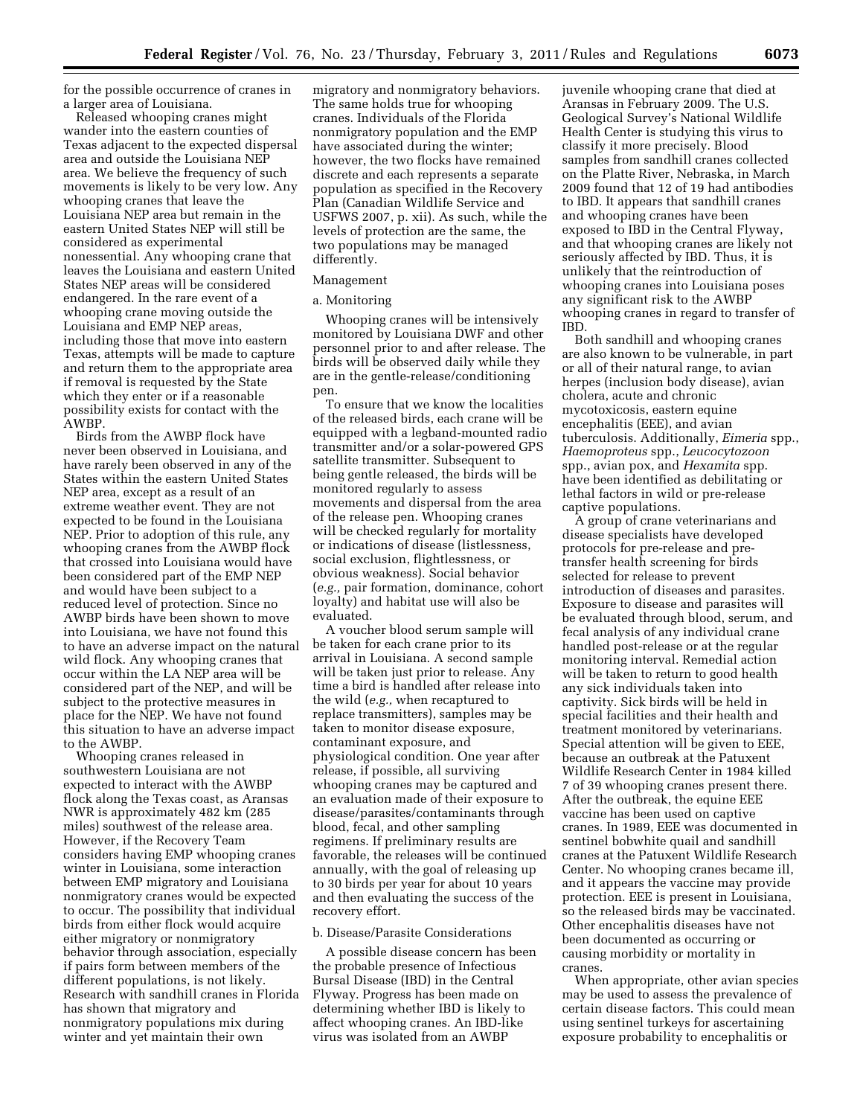for the possible occurrence of cranes in a larger area of Louisiana.

Released whooping cranes might wander into the eastern counties of Texas adjacent to the expected dispersal area and outside the Louisiana NEP area. We believe the frequency of such movements is likely to be very low. Any whooping cranes that leave the Louisiana NEP area but remain in the eastern United States NEP will still be considered as experimental nonessential. Any whooping crane that leaves the Louisiana and eastern United States NEP areas will be considered endangered. In the rare event of a whooping crane moving outside the Louisiana and EMP NEP areas, including those that move into eastern Texas, attempts will be made to capture and return them to the appropriate area if removal is requested by the State which they enter or if a reasonable possibility exists for contact with the AWBP.

Birds from the AWBP flock have never been observed in Louisiana, and have rarely been observed in any of the States within the eastern United States NEP area, except as a result of an extreme weather event. They are not expected to be found in the Louisiana NEP. Prior to adoption of this rule, any whooping cranes from the AWBP flock that crossed into Louisiana would have been considered part of the EMP NEP and would have been subject to a reduced level of protection. Since no AWBP birds have been shown to move into Louisiana, we have not found this to have an adverse impact on the natural wild flock. Any whooping cranes that occur within the LA NEP area will be considered part of the NEP, and will be subject to the protective measures in place for the NEP. We have not found this situation to have an adverse impact to the AWBP.

Whooping cranes released in southwestern Louisiana are not expected to interact with the AWBP flock along the Texas coast, as Aransas NWR is approximately 482 km (285 miles) southwest of the release area. However, if the Recovery Team considers having EMP whooping cranes winter in Louisiana, some interaction between EMP migratory and Louisiana nonmigratory cranes would be expected to occur. The possibility that individual birds from either flock would acquire either migratory or nonmigratory behavior through association, especially if pairs form between members of the different populations, is not likely. Research with sandhill cranes in Florida has shown that migratory and nonmigratory populations mix during winter and yet maintain their own

migratory and nonmigratory behaviors. The same holds true for whooping cranes. Individuals of the Florida nonmigratory population and the EMP have associated during the winter; however, the two flocks have remained discrete and each represents a separate population as specified in the Recovery Plan (Canadian Wildlife Service and USFWS 2007, p. xii). As such, while the levels of protection are the same, the two populations may be managed differently.

# Management

# a. Monitoring

Whooping cranes will be intensively monitored by Louisiana DWF and other personnel prior to and after release. The birds will be observed daily while they are in the gentle-release/conditioning pen.

To ensure that we know the localities of the released birds, each crane will be equipped with a legband-mounted radio transmitter and/or a solar-powered GPS satellite transmitter. Subsequent to being gentle released, the birds will be monitored regularly to assess movements and dispersal from the area of the release pen. Whooping cranes will be checked regularly for mortality or indications of disease (listlessness, social exclusion, flightlessness, or obvious weakness). Social behavior (*e.g.,* pair formation, dominance, cohort loyalty) and habitat use will also be evaluated.

A voucher blood serum sample will be taken for each crane prior to its arrival in Louisiana. A second sample will be taken just prior to release. Any time a bird is handled after release into the wild (*e.g.,* when recaptured to replace transmitters), samples may be taken to monitor disease exposure, contaminant exposure, and physiological condition. One year after release, if possible, all surviving whooping cranes may be captured and an evaluation made of their exposure to disease/parasites/contaminants through blood, fecal, and other sampling regimens. If preliminary results are favorable, the releases will be continued annually, with the goal of releasing up to 30 birds per year for about 10 years and then evaluating the success of the recovery effort.

# b. Disease/Parasite Considerations

A possible disease concern has been the probable presence of Infectious Bursal Disease (IBD) in the Central Flyway. Progress has been made on determining whether IBD is likely to affect whooping cranes. An IBD-like virus was isolated from an AWBP

juvenile whooping crane that died at Aransas in February 2009. The U.S. Geological Survey's National Wildlife Health Center is studying this virus to classify it more precisely. Blood samples from sandhill cranes collected on the Platte River, Nebraska, in March 2009 found that 12 of 19 had antibodies to IBD. It appears that sandhill cranes and whooping cranes have been exposed to IBD in the Central Flyway, and that whooping cranes are likely not seriously affected by IBD. Thus, it is unlikely that the reintroduction of whooping cranes into Louisiana poses any significant risk to the AWBP whooping cranes in regard to transfer of IBD.

Both sandhill and whooping cranes are also known to be vulnerable, in part or all of their natural range, to avian herpes (inclusion body disease), avian cholera, acute and chronic mycotoxicosis, eastern equine encephalitis (EEE), and avian tuberculosis. Additionally, *Eimeria* spp., *Haemoproteus* spp., *Leucocytozoon*  spp., avian pox, and *Hexamita* spp. have been identified as debilitating or lethal factors in wild or pre-release captive populations.

A group of crane veterinarians and disease specialists have developed protocols for pre-release and pretransfer health screening for birds selected for release to prevent introduction of diseases and parasites. Exposure to disease and parasites will be evaluated through blood, serum, and fecal analysis of any individual crane handled post-release or at the regular monitoring interval. Remedial action will be taken to return to good health any sick individuals taken into captivity. Sick birds will be held in special facilities and their health and treatment monitored by veterinarians. Special attention will be given to EEE, because an outbreak at the Patuxent Wildlife Research Center in 1984 killed 7 of 39 whooping cranes present there. After the outbreak, the equine EEE vaccine has been used on captive cranes. In 1989, EEE was documented in sentinel bobwhite quail and sandhill cranes at the Patuxent Wildlife Research Center. No whooping cranes became ill, and it appears the vaccine may provide protection. EEE is present in Louisiana, so the released birds may be vaccinated. Other encephalitis diseases have not been documented as occurring or causing morbidity or mortality in cranes.

When appropriate, other avian species may be used to assess the prevalence of certain disease factors. This could mean using sentinel turkeys for ascertaining exposure probability to encephalitis or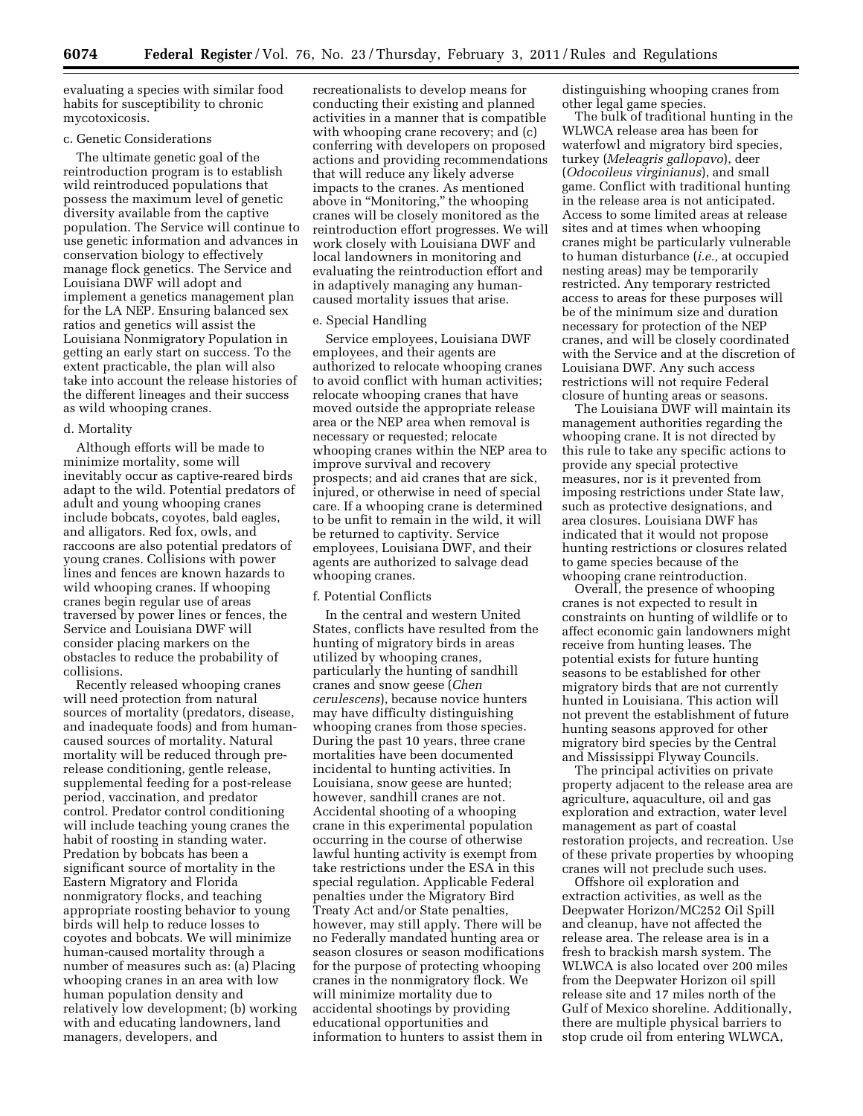evaluating a species with similar food habits for susceptibility to chronic mycotoxicosis.

### c. Genetic Considerations

The ultimate genetic goal of the reintroduction program is to establish wild reintroduced populations that possess the maximum level of genetic diversity available from the captive population. The Service will continue to use genetic information and advances in conservation biology to effectively manage flock genetics. The Service and Louisiana DWF will adopt and implement a genetics management plan for the LA NEP. Ensuring balanced sex ratios and genetics will assist the Louisiana Nonmigratory Population in getting an early start on success. To the extent practicable, the plan will also take into account the release histories of the different lineages and their success as wild whooping cranes.

# d. Mortality

Although efforts will be made to minimize mortality, some will inevitably occur as captive-reared birds adapt to the wild. Potential predators of adult and young whooping cranes include bobcats, coyotes, bald eagles, and alligators. Red fox, owls, and raccoons are also potential predators of young cranes. Collisions with power lines and fences are known hazards to wild whooping cranes. If whooping cranes begin regular use of areas traversed by power lines or fences, the Service and Louisiana DWF will consider placing markers on the obstacles to reduce the probability of collisions.

Recently released whooping cranes will need protection from natural sources of mortality (predators, disease, and inadequate foods) and from humancaused sources of mortality. Natural mortality will be reduced through prerelease conditioning, gentle release, supplemental feeding for a post-release period, vaccination, and predator control. Predator control conditioning will include teaching young cranes the habit of roosting in standing water. Predation by bobcats has been a significant source of mortality in the Eastern Migratory and Florida nonmigratory flocks, and teaching appropriate roosting behavior to young birds will help to reduce losses to coyotes and bobcats. We will minimize human-caused mortality through a number of measures such as: (a) Placing whooping cranes in an area with low human population density and relatively low development; (b) working with and educating landowners, land managers, developers, and

recreationalists to develop means for conducting their existing and planned activities in a manner that is compatible with whooping crane recovery; and (c) conferring with developers on proposed actions and providing recommendations that will reduce any likely adverse impacts to the cranes. As mentioned above in ''Monitoring,'' the whooping cranes will be closely monitored as the reintroduction effort progresses. We will work closely with Louisiana DWF and local landowners in monitoring and evaluating the reintroduction effort and in adaptively managing any humancaused mortality issues that arise.

## e. Special Handling

Service employees, Louisiana DWF employees, and their agents are authorized to relocate whooping cranes to avoid conflict with human activities; relocate whooping cranes that have moved outside the appropriate release area or the NEP area when removal is necessary or requested; relocate whooping cranes within the NEP area to improve survival and recovery prospects; and aid cranes that are sick, injured, or otherwise in need of special care. If a whooping crane is determined to be unfit to remain in the wild, it will be returned to captivity. Service employees, Louisiana DWF, and their agents are authorized to salvage dead whooping cranes.

#### f. Potential Conflicts

In the central and western United States, conflicts have resulted from the hunting of migratory birds in areas utilized by whooping cranes, particularly the hunting of sandhill cranes and snow geese (*Chen cerulescens*), because novice hunters may have difficulty distinguishing whooping cranes from those species. During the past 10 years, three crane mortalities have been documented incidental to hunting activities. In Louisiana, snow geese are hunted; however, sandhill cranes are not. Accidental shooting of a whooping crane in this experimental population occurring in the course of otherwise lawful hunting activity is exempt from take restrictions under the ESA in this special regulation. Applicable Federal penalties under the Migratory Bird Treaty Act and/or State penalties, however, may still apply. There will be no Federally mandated hunting area or season closures or season modifications for the purpose of protecting whooping cranes in the nonmigratory flock. We will minimize mortality due to accidental shootings by providing educational opportunities and information to hunters to assist them in

distinguishing whooping cranes from other legal game species.

The bulk of traditional hunting in the WLWCA release area has been for waterfowl and migratory bird species, turkey (*Meleagris gallopavo*), deer (*Odocoileus virginianus*), and small game. Conflict with traditional hunting in the release area is not anticipated. Access to some limited areas at release sites and at times when whooping cranes might be particularly vulnerable to human disturbance (*i.e.,* at occupied nesting areas) may be temporarily restricted. Any temporary restricted access to areas for these purposes will be of the minimum size and duration necessary for protection of the NEP cranes, and will be closely coordinated with the Service and at the discretion of Louisiana DWF. Any such access restrictions will not require Federal closure of hunting areas or seasons.

The Louisiana DWF will maintain its management authorities regarding the whooping crane. It is not directed by this rule to take any specific actions to provide any special protective measures, nor is it prevented from imposing restrictions under State law, such as protective designations, and area closures. Louisiana DWF has indicated that it would not propose hunting restrictions or closures related to game species because of the whooping crane reintroduction.

Overall, the presence of whooping cranes is not expected to result in constraints on hunting of wildlife or to affect economic gain landowners might receive from hunting leases. The potential exists for future hunting seasons to be established for other migratory birds that are not currently hunted in Louisiana. This action will not prevent the establishment of future hunting seasons approved for other migratory bird species by the Central and Mississippi Flyway Councils.

The principal activities on private property adjacent to the release area are agriculture, aquaculture, oil and gas exploration and extraction, water level management as part of coastal restoration projects, and recreation. Use of these private properties by whooping cranes will not preclude such uses.

Offshore oil exploration and extraction activities, as well as the Deepwater Horizon/MC252 Oil Spill and cleanup, have not affected the release area. The release area is in a fresh to brackish marsh system. The WLWCA is also located over 200 miles from the Deepwater Horizon oil spill release site and 17 miles north of the Gulf of Mexico shoreline. Additionally, there are multiple physical barriers to stop crude oil from entering WLWCA,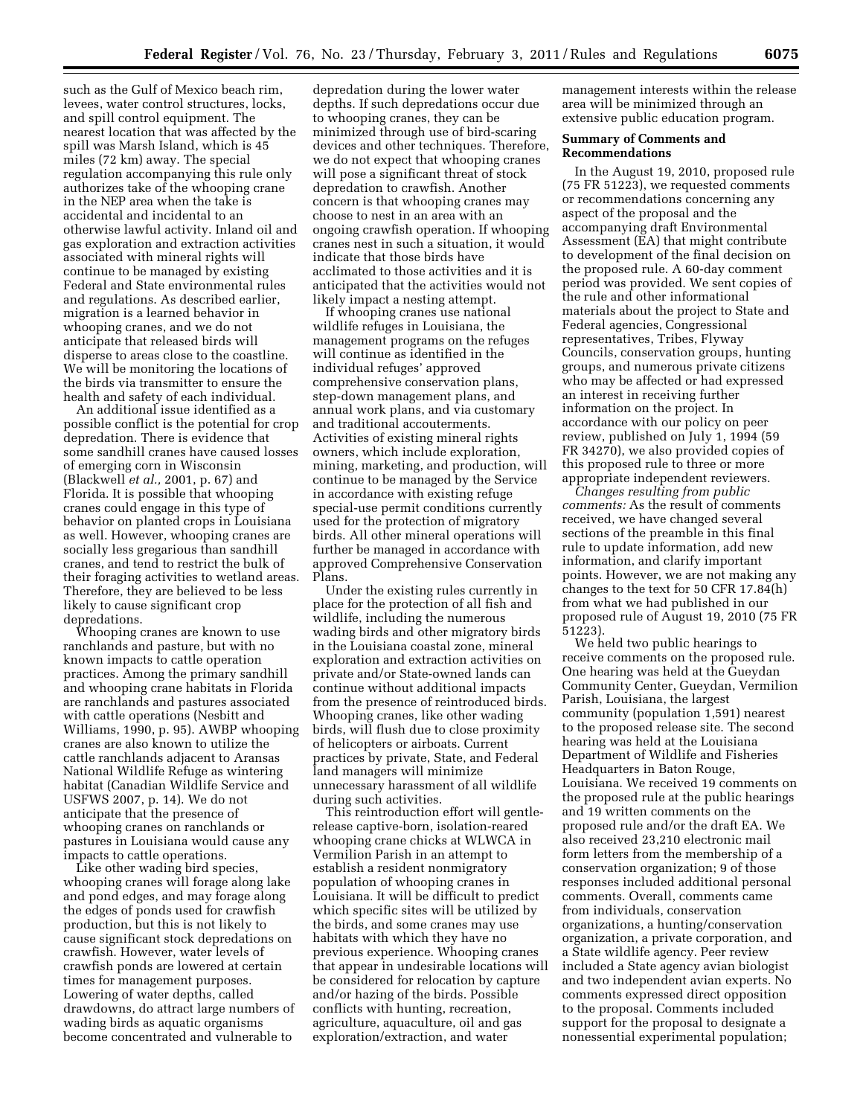such as the Gulf of Mexico beach rim, levees, water control structures, locks, and spill control equipment. The nearest location that was affected by the spill was Marsh Island, which is 45 miles (72 km) away. The special regulation accompanying this rule only authorizes take of the whooping crane in the NEP area when the take is accidental and incidental to an otherwise lawful activity. Inland oil and gas exploration and extraction activities associated with mineral rights will continue to be managed by existing Federal and State environmental rules and regulations. As described earlier, migration is a learned behavior in whooping cranes, and we do not anticipate that released birds will disperse to areas close to the coastline. We will be monitoring the locations of the birds via transmitter to ensure the health and safety of each individual.

An additional issue identified as a possible conflict is the potential for crop depredation. There is evidence that some sandhill cranes have caused losses of emerging corn in Wisconsin (Blackwell *et al.,* 2001, p. 67) and Florida. It is possible that whooping cranes could engage in this type of behavior on planted crops in Louisiana as well. However, whooping cranes are socially less gregarious than sandhill cranes, and tend to restrict the bulk of their foraging activities to wetland areas. Therefore, they are believed to be less likely to cause significant crop depredations.

Whooping cranes are known to use ranchlands and pasture, but with no known impacts to cattle operation practices. Among the primary sandhill and whooping crane habitats in Florida are ranchlands and pastures associated with cattle operations (Nesbitt and Williams, 1990, p. 95). AWBP whooping cranes are also known to utilize the cattle ranchlands adjacent to Aransas National Wildlife Refuge as wintering habitat (Canadian Wildlife Service and USFWS 2007, p. 14). We do not anticipate that the presence of whooping cranes on ranchlands or pastures in Louisiana would cause any impacts to cattle operations.

Like other wading bird species, whooping cranes will forage along lake and pond edges, and may forage along the edges of ponds used for crawfish production, but this is not likely to cause significant stock depredations on crawfish. However, water levels of crawfish ponds are lowered at certain times for management purposes. Lowering of water depths, called drawdowns, do attract large numbers of wading birds as aquatic organisms become concentrated and vulnerable to

depredation during the lower water depths. If such depredations occur due to whooping cranes, they can be minimized through use of bird-scaring devices and other techniques. Therefore, we do not expect that whooping cranes will pose a significant threat of stock depredation to crawfish. Another concern is that whooping cranes may choose to nest in an area with an ongoing crawfish operation. If whooping cranes nest in such a situation, it would indicate that those birds have acclimated to those activities and it is anticipated that the activities would not likely impact a nesting attempt.

If whooping cranes use national wildlife refuges in Louisiana, the management programs on the refuges will continue as identified in the individual refuges' approved comprehensive conservation plans, step-down management plans, and annual work plans, and via customary and traditional accouterments. Activities of existing mineral rights owners, which include exploration, mining, marketing, and production, will continue to be managed by the Service in accordance with existing refuge special-use permit conditions currently used for the protection of migratory birds. All other mineral operations will further be managed in accordance with approved Comprehensive Conservation Plans.

Under the existing rules currently in place for the protection of all fish and wildlife, including the numerous wading birds and other migratory birds in the Louisiana coastal zone, mineral exploration and extraction activities on private and/or State-owned lands can continue without additional impacts from the presence of reintroduced birds. Whooping cranes, like other wading birds, will flush due to close proximity of helicopters or airboats. Current practices by private, State, and Federal land managers will minimize unnecessary harassment of all wildlife during such activities.

This reintroduction effort will gentlerelease captive-born, isolation-reared whooping crane chicks at WLWCA in Vermilion Parish in an attempt to establish a resident nonmigratory population of whooping cranes in Louisiana. It will be difficult to predict which specific sites will be utilized by the birds, and some cranes may use habitats with which they have no previous experience. Whooping cranes that appear in undesirable locations will be considered for relocation by capture and/or hazing of the birds. Possible conflicts with hunting, recreation, agriculture, aquaculture, oil and gas exploration/extraction, and water

management interests within the release area will be minimized through an extensive public education program.

# **Summary of Comments and Recommendations**

In the August 19, 2010, proposed rule (75 FR 51223), we requested comments or recommendations concerning any aspect of the proposal and the accompanying draft Environmental Assessment (EA) that might contribute to development of the final decision on the proposed rule. A 60-day comment period was provided. We sent copies of the rule and other informational materials about the project to State and Federal agencies, Congressional representatives, Tribes, Flyway Councils, conservation groups, hunting groups, and numerous private citizens who may be affected or had expressed an interest in receiving further information on the project. In accordance with our policy on peer review, published on July 1, 1994 (59 FR 34270), we also provided copies of this proposed rule to three or more appropriate independent reviewers.

*Changes resulting from public comments:* As the result of comments received, we have changed several sections of the preamble in this final rule to update information, add new information, and clarify important points. However, we are not making any changes to the text for 50 CFR 17.84(h) from what we had published in our proposed rule of August 19, 2010 (75 FR 51223).

We held two public hearings to receive comments on the proposed rule. One hearing was held at the Gueydan Community Center, Gueydan, Vermilion Parish, Louisiana, the largest community (population 1,591) nearest to the proposed release site. The second hearing was held at the Louisiana Department of Wildlife and Fisheries Headquarters in Baton Rouge, Louisiana. We received 19 comments on the proposed rule at the public hearings and 19 written comments on the proposed rule and/or the draft EA. We also received 23,210 electronic mail form letters from the membership of a conservation organization; 9 of those responses included additional personal comments. Overall, comments came from individuals, conservation organizations, a hunting/conservation organization, a private corporation, and a State wildlife agency. Peer review included a State agency avian biologist and two independent avian experts. No comments expressed direct opposition to the proposal. Comments included support for the proposal to designate a nonessential experimental population;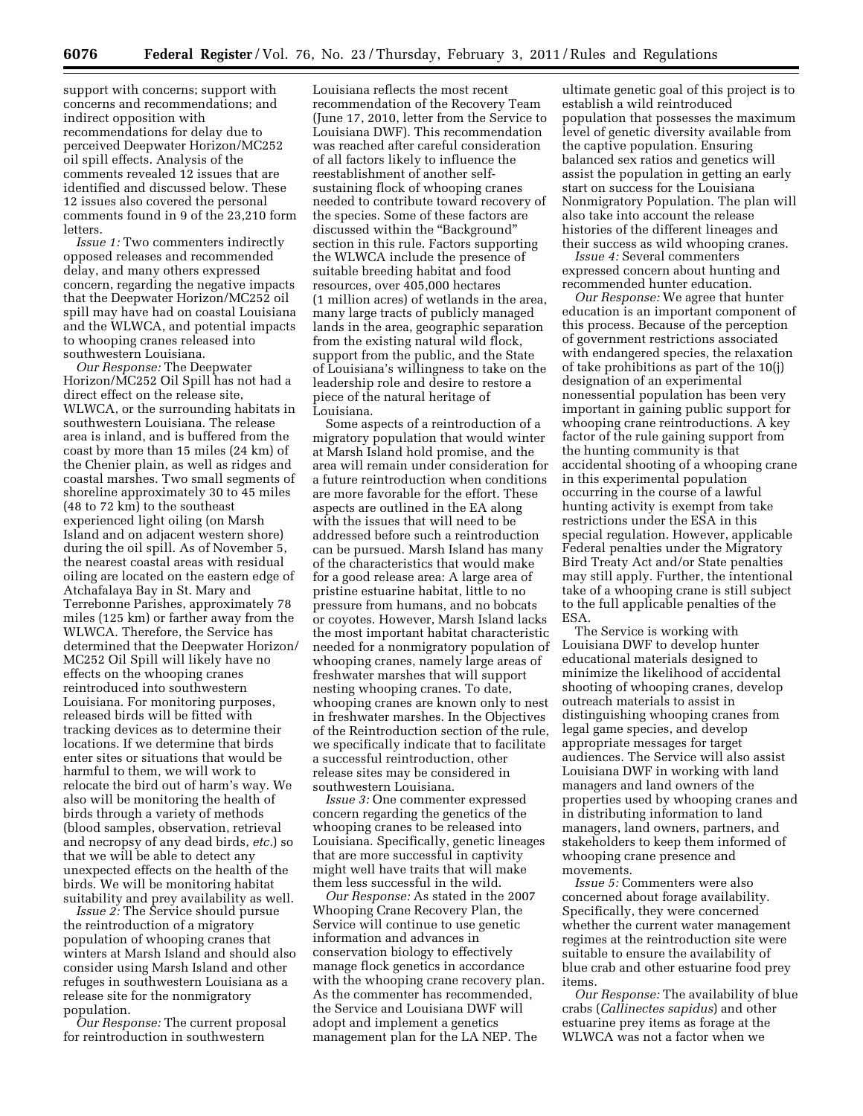support with concerns; support with concerns and recommendations; and indirect opposition with recommendations for delay due to perceived Deepwater Horizon/MC252 oil spill effects. Analysis of the comments revealed 12 issues that are identified and discussed below. These 12 issues also covered the personal comments found in 9 of the 23,210 form **letters** 

*Issue 1:* Two commenters indirectly opposed releases and recommended delay, and many others expressed concern, regarding the negative impacts that the Deepwater Horizon/MC252 oil spill may have had on coastal Louisiana and the WLWCA, and potential impacts to whooping cranes released into southwestern Louisiana.

*Our Response:* The Deepwater Horizon/MC252 Oil Spill has not had a direct effect on the release site, WLWCA, or the surrounding habitats in southwestern Louisiana. The release area is inland, and is buffered from the coast by more than 15 miles (24 km) of the Chenier plain, as well as ridges and coastal marshes. Two small segments of shoreline approximately 30 to 45 miles (48 to 72 km) to the southeast experienced light oiling (on Marsh Island and on adjacent western shore) during the oil spill. As of November 5, the nearest coastal areas with residual oiling are located on the eastern edge of Atchafalaya Bay in St. Mary and Terrebonne Parishes, approximately 78 miles (125 km) or farther away from the WLWCA. Therefore, the Service has determined that the Deepwater Horizon/ MC252 Oil Spill will likely have no effects on the whooping cranes reintroduced into southwestern Louisiana. For monitoring purposes, released birds will be fitted with tracking devices as to determine their locations. If we determine that birds enter sites or situations that would be harmful to them, we will work to relocate the bird out of harm's way. We also will be monitoring the health of birds through a variety of methods (blood samples, observation, retrieval and necropsy of any dead birds, *etc.*) so that we will be able to detect any unexpected effects on the health of the birds. We will be monitoring habitat suitability and prey availability as well.

*Issue 2:* The Service should pursue the reintroduction of a migratory population of whooping cranes that winters at Marsh Island and should also consider using Marsh Island and other refuges in southwestern Louisiana as a release site for the nonmigratory population.

*Our Response:* The current proposal for reintroduction in southwestern

Louisiana reflects the most recent recommendation of the Recovery Team (June 17, 2010, letter from the Service to Louisiana DWF). This recommendation was reached after careful consideration of all factors likely to influence the reestablishment of another selfsustaining flock of whooping cranes needed to contribute toward recovery of the species. Some of these factors are discussed within the ''Background'' section in this rule. Factors supporting the WLWCA include the presence of suitable breeding habitat and food resources, over 405,000 hectares (1 million acres) of wetlands in the area, many large tracts of publicly managed lands in the area, geographic separation from the existing natural wild flock, support from the public, and the State of Louisiana's willingness to take on the leadership role and desire to restore a piece of the natural heritage of Louisiana.

Some aspects of a reintroduction of a migratory population that would winter at Marsh Island hold promise, and the area will remain under consideration for a future reintroduction when conditions are more favorable for the effort. These aspects are outlined in the EA along with the issues that will need to be addressed before such a reintroduction can be pursued. Marsh Island has many of the characteristics that would make for a good release area: A large area of pristine estuarine habitat, little to no pressure from humans, and no bobcats or coyotes. However, Marsh Island lacks the most important habitat characteristic needed for a nonmigratory population of whooping cranes, namely large areas of freshwater marshes that will support nesting whooping cranes. To date, whooping cranes are known only to nest in freshwater marshes. In the Objectives of the Reintroduction section of the rule, we specifically indicate that to facilitate a successful reintroduction, other release sites may be considered in southwestern Louisiana.

*Issue 3:* One commenter expressed concern regarding the genetics of the whooping cranes to be released into Louisiana. Specifically, genetic lineages that are more successful in captivity might well have traits that will make them less successful in the wild.

*Our Response:* As stated in the 2007 Whooping Crane Recovery Plan, the Service will continue to use genetic information and advances in conservation biology to effectively manage flock genetics in accordance with the whooping crane recovery plan. As the commenter has recommended, the Service and Louisiana DWF will adopt and implement a genetics management plan for the LA NEP. The

ultimate genetic goal of this project is to establish a wild reintroduced population that possesses the maximum level of genetic diversity available from the captive population. Ensuring balanced sex ratios and genetics will assist the population in getting an early start on success for the Louisiana Nonmigratory Population. The plan will also take into account the release histories of the different lineages and their success as wild whooping cranes.

*Issue 4:* Several commenters expressed concern about hunting and recommended hunter education.

*Our Response:* We agree that hunter education is an important component of this process. Because of the perception of government restrictions associated with endangered species, the relaxation of take prohibitions as part of the 10(j) designation of an experimental nonessential population has been very important in gaining public support for whooping crane reintroductions. A key factor of the rule gaining support from the hunting community is that accidental shooting of a whooping crane in this experimental population occurring in the course of a lawful hunting activity is exempt from take restrictions under the ESA in this special regulation. However, applicable Federal penalties under the Migratory Bird Treaty Act and/or State penalties may still apply. Further, the intentional take of a whooping crane is still subject to the full applicable penalties of the ESA.

The Service is working with Louisiana DWF to develop hunter educational materials designed to minimize the likelihood of accidental shooting of whooping cranes, develop outreach materials to assist in distinguishing whooping cranes from legal game species, and develop appropriate messages for target audiences. The Service will also assist Louisiana DWF in working with land managers and land owners of the properties used by whooping cranes and in distributing information to land managers, land owners, partners, and stakeholders to keep them informed of whooping crane presence and movements.

*Issue 5:* Commenters were also concerned about forage availability. Specifically, they were concerned whether the current water management regimes at the reintroduction site were suitable to ensure the availability of blue crab and other estuarine food prey items.

*Our Response:* The availability of blue crabs (*Callinectes sapidus*) and other estuarine prey items as forage at the WLWCA was not a factor when we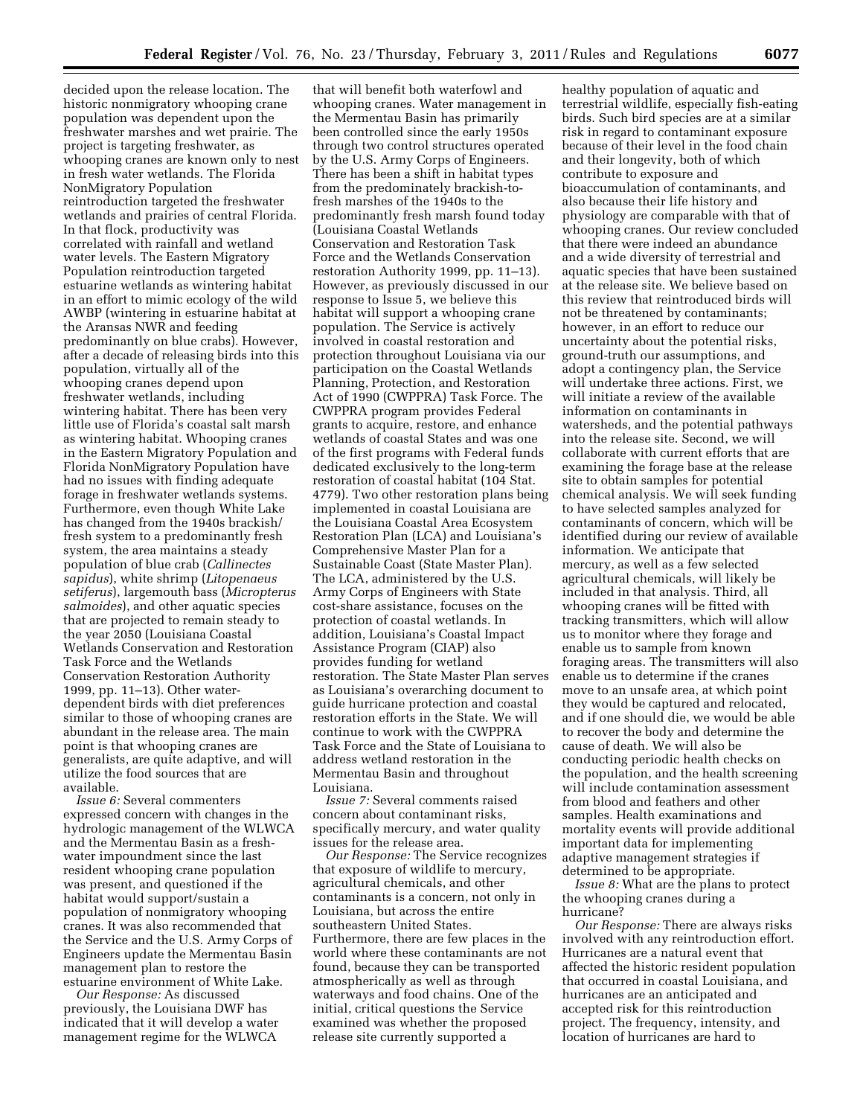decided upon the release location. The historic nonmigratory whooping crane population was dependent upon the freshwater marshes and wet prairie. The project is targeting freshwater, as whooping cranes are known only to nest in fresh water wetlands. The Florida NonMigratory Population reintroduction targeted the freshwater wetlands and prairies of central Florida. In that flock, productivity was correlated with rainfall and wetland water levels. The Eastern Migratory Population reintroduction targeted estuarine wetlands as wintering habitat in an effort to mimic ecology of the wild AWBP (wintering in estuarine habitat at the Aransas NWR and feeding predominantly on blue crabs). However, after a decade of releasing birds into this population, virtually all of the whooping cranes depend upon freshwater wetlands, including wintering habitat. There has been very little use of Florida's coastal salt marsh as wintering habitat. Whooping cranes in the Eastern Migratory Population and Florida NonMigratory Population have had no issues with finding adequate forage in freshwater wetlands systems. Furthermore, even though White Lake has changed from the 1940s brackish/ fresh system to a predominantly fresh system, the area maintains a steady population of blue crab (*Callinectes sapidus*), white shrimp (*Litopenaeus setiferus*), largemouth bass (*Micropterus salmoides*), and other aquatic species that are projected to remain steady to the year 2050 (Louisiana Coastal Wetlands Conservation and Restoration Task Force and the Wetlands Conservation Restoration Authority 1999, pp. 11–13). Other waterdependent birds with diet preferences similar to those of whooping cranes are abundant in the release area. The main point is that whooping cranes are generalists, are quite adaptive, and will utilize the food sources that are available.

*Issue 6:* Several commenters expressed concern with changes in the hydrologic management of the WLWCA and the Mermentau Basin as a freshwater impoundment since the last resident whooping crane population was present, and questioned if the habitat would support/sustain a population of nonmigratory whooping cranes. It was also recommended that the Service and the U.S. Army Corps of Engineers update the Mermentau Basin management plan to restore the estuarine environment of White Lake.

*Our Response:* As discussed previously, the Louisiana DWF has indicated that it will develop a water management regime for the WLWCA

that will benefit both waterfowl and whooping cranes. Water management in the Mermentau Basin has primarily been controlled since the early 1950s through two control structures operated by the U.S. Army Corps of Engineers. There has been a shift in habitat types from the predominately brackish-tofresh marshes of the 1940s to the predominantly fresh marsh found today (Louisiana Coastal Wetlands Conservation and Restoration Task Force and the Wetlands Conservation restoration Authority 1999, pp. 11–13). However, as previously discussed in our response to Issue 5, we believe this habitat will support a whooping crane population. The Service is actively involved in coastal restoration and protection throughout Louisiana via our participation on the Coastal Wetlands Planning, Protection, and Restoration Act of 1990 (CWPPRA) Task Force. The CWPPRA program provides Federal grants to acquire, restore, and enhance wetlands of coastal States and was one of the first programs with Federal funds dedicated exclusively to the long-term restoration of coastal habitat (104 Stat. 4779). Two other restoration plans being implemented in coastal Louisiana are the Louisiana Coastal Area Ecosystem Restoration Plan (LCA) and Louisiana's Comprehensive Master Plan for a Sustainable Coast (State Master Plan). The LCA, administered by the U.S. Army Corps of Engineers with State cost-share assistance, focuses on the protection of coastal wetlands. In addition, Louisiana's Coastal Impact Assistance Program (CIAP) also provides funding for wetland restoration. The State Master Plan serves as Louisiana's overarching document to guide hurricane protection and coastal restoration efforts in the State. We will continue to work with the CWPPRA Task Force and the State of Louisiana to address wetland restoration in the Mermentau Basin and throughout Louisiana.

*Issue 7:* Several comments raised concern about contaminant risks, specifically mercury, and water quality issues for the release area.

*Our Response:* The Service recognizes that exposure of wildlife to mercury, agricultural chemicals, and other contaminants is a concern, not only in Louisiana, but across the entire southeastern United States. Furthermore, there are few places in the world where these contaminants are not found, because they can be transported atmospherically as well as through waterways and food chains. One of the initial, critical questions the Service examined was whether the proposed release site currently supported a

healthy population of aquatic and terrestrial wildlife, especially fish-eating birds. Such bird species are at a similar risk in regard to contaminant exposure because of their level in the food chain and their longevity, both of which contribute to exposure and bioaccumulation of contaminants, and also because their life history and physiology are comparable with that of whooping cranes. Our review concluded that there were indeed an abundance and a wide diversity of terrestrial and aquatic species that have been sustained at the release site. We believe based on this review that reintroduced birds will not be threatened by contaminants; however, in an effort to reduce our uncertainty about the potential risks, ground-truth our assumptions, and adopt a contingency plan, the Service will undertake three actions. First, we will initiate a review of the available information on contaminants in watersheds, and the potential pathways into the release site. Second, we will collaborate with current efforts that are examining the forage base at the release site to obtain samples for potential chemical analysis. We will seek funding to have selected samples analyzed for contaminants of concern, which will be identified during our review of available information. We anticipate that mercury, as well as a few selected agricultural chemicals, will likely be included in that analysis. Third, all whooping cranes will be fitted with tracking transmitters, which will allow us to monitor where they forage and enable us to sample from known foraging areas. The transmitters will also enable us to determine if the cranes move to an unsafe area, at which point they would be captured and relocated, and if one should die, we would be able to recover the body and determine the cause of death. We will also be conducting periodic health checks on the population, and the health screening will include contamination assessment from blood and feathers and other samples. Health examinations and mortality events will provide additional important data for implementing adaptive management strategies if determined to be appropriate.

*Issue 8:* What are the plans to protect the whooping cranes during a hurricane?

*Our Response:* There are always risks involved with any reintroduction effort. Hurricanes are a natural event that affected the historic resident population that occurred in coastal Louisiana, and hurricanes are an anticipated and accepted risk for this reintroduction project. The frequency, intensity, and location of hurricanes are hard to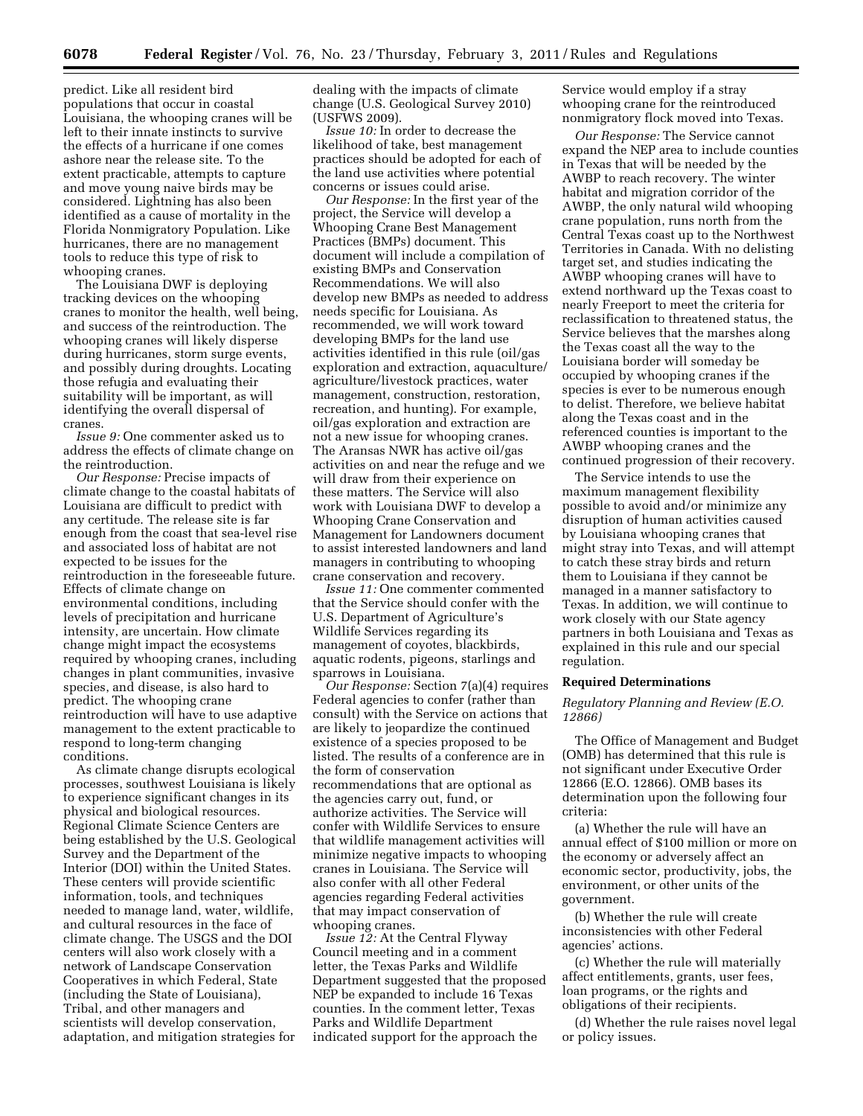predict. Like all resident bird populations that occur in coastal Louisiana, the whooping cranes will be left to their innate instincts to survive the effects of a hurricane if one comes ashore near the release site. To the extent practicable, attempts to capture and move young naive birds may be considered. Lightning has also been identified as a cause of mortality in the Florida Nonmigratory Population. Like hurricanes, there are no management tools to reduce this type of risk to whooping cranes.

The Louisiana DWF is deploying tracking devices on the whooping cranes to monitor the health, well being, and success of the reintroduction. The whooping cranes will likely disperse during hurricanes, storm surge events, and possibly during droughts. Locating those refugia and evaluating their suitability will be important, as will identifying the overall dispersal of cranes.

*Issue 9:* One commenter asked us to address the effects of climate change on the reintroduction.

*Our Response:* Precise impacts of climate change to the coastal habitats of Louisiana are difficult to predict with any certitude. The release site is far enough from the coast that sea-level rise and associated loss of habitat are not expected to be issues for the reintroduction in the foreseeable future. Effects of climate change on environmental conditions, including levels of precipitation and hurricane intensity, are uncertain. How climate change might impact the ecosystems required by whooping cranes, including changes in plant communities, invasive species, and disease, is also hard to predict. The whooping crane reintroduction will have to use adaptive management to the extent practicable to respond to long-term changing conditions.

As climate change disrupts ecological processes, southwest Louisiana is likely to experience significant changes in its physical and biological resources. Regional Climate Science Centers are being established by the U.S. Geological Survey and the Department of the Interior (DOI) within the United States. These centers will provide scientific information, tools, and techniques needed to manage land, water, wildlife, and cultural resources in the face of climate change. The USGS and the DOI centers will also work closely with a network of Landscape Conservation Cooperatives in which Federal, State (including the State of Louisiana), Tribal, and other managers and scientists will develop conservation, adaptation, and mitigation strategies for

dealing with the impacts of climate change (U.S. Geological Survey 2010) (USFWS 2009).

*Issue 10:* In order to decrease the likelihood of take, best management practices should be adopted for each of the land use activities where potential concerns or issues could arise.

*Our Response:* In the first year of the project, the Service will develop a Whooping Crane Best Management Practices (BMPs) document. This document will include a compilation of existing BMPs and Conservation Recommendations. We will also develop new BMPs as needed to address needs specific for Louisiana. As recommended, we will work toward developing BMPs for the land use activities identified in this rule (oil/gas exploration and extraction, aquaculture/ agriculture/livestock practices, water management, construction, restoration, recreation, and hunting). For example, oil/gas exploration and extraction are not a new issue for whooping cranes. The Aransas NWR has active oil/gas activities on and near the refuge and we will draw from their experience on these matters. The Service will also work with Louisiana DWF to develop a Whooping Crane Conservation and Management for Landowners document to assist interested landowners and land managers in contributing to whooping crane conservation and recovery.

*Issue 11:* One commenter commented that the Service should confer with the U.S. Department of Agriculture's Wildlife Services regarding its management of coyotes, blackbirds, aquatic rodents, pigeons, starlings and sparrows in Louisiana.

*Our Response:* Section 7(a)(4) requires Federal agencies to confer (rather than consult) with the Service on actions that are likely to jeopardize the continued existence of a species proposed to be listed. The results of a conference are in the form of conservation recommendations that are optional as the agencies carry out, fund, or authorize activities. The Service will confer with Wildlife Services to ensure that wildlife management activities will minimize negative impacts to whooping cranes in Louisiana. The Service will also confer with all other Federal agencies regarding Federal activities that may impact conservation of whooping cranes.

*Issue 12:* At the Central Flyway Council meeting and in a comment letter, the Texas Parks and Wildlife Department suggested that the proposed NEP be expanded to include 16 Texas counties. In the comment letter, Texas Parks and Wildlife Department indicated support for the approach the

Service would employ if a stray whooping crane for the reintroduced nonmigratory flock moved into Texas.

*Our Response:* The Service cannot expand the NEP area to include counties in Texas that will be needed by the AWBP to reach recovery. The winter habitat and migration corridor of the AWBP, the only natural wild whooping crane population, runs north from the Central Texas coast up to the Northwest Territories in Canada. With no delisting target set, and studies indicating the AWBP whooping cranes will have to extend northward up the Texas coast to nearly Freeport to meet the criteria for reclassification to threatened status, the Service believes that the marshes along the Texas coast all the way to the Louisiana border will someday be occupied by whooping cranes if the species is ever to be numerous enough to delist. Therefore, we believe habitat along the Texas coast and in the referenced counties is important to the AWBP whooping cranes and the continued progression of their recovery.

The Service intends to use the maximum management flexibility possible to avoid and/or minimize any disruption of human activities caused by Louisiana whooping cranes that might stray into Texas, and will attempt to catch these stray birds and return them to Louisiana if they cannot be managed in a manner satisfactory to Texas. In addition, we will continue to work closely with our State agency partners in both Louisiana and Texas as explained in this rule and our special regulation.

# **Required Determinations**

*Regulatory Planning and Review (E.O. 12866)* 

The Office of Management and Budget (OMB) has determined that this rule is not significant under Executive Order 12866 (E.O. 12866). OMB bases its determination upon the following four criteria:

(a) Whether the rule will have an annual effect of \$100 million or more on the economy or adversely affect an economic sector, productivity, jobs, the environment, or other units of the government.

(b) Whether the rule will create inconsistencies with other Federal agencies' actions.

(c) Whether the rule will materially affect entitlements, grants, user fees, loan programs, or the rights and obligations of their recipients.

(d) Whether the rule raises novel legal or policy issues.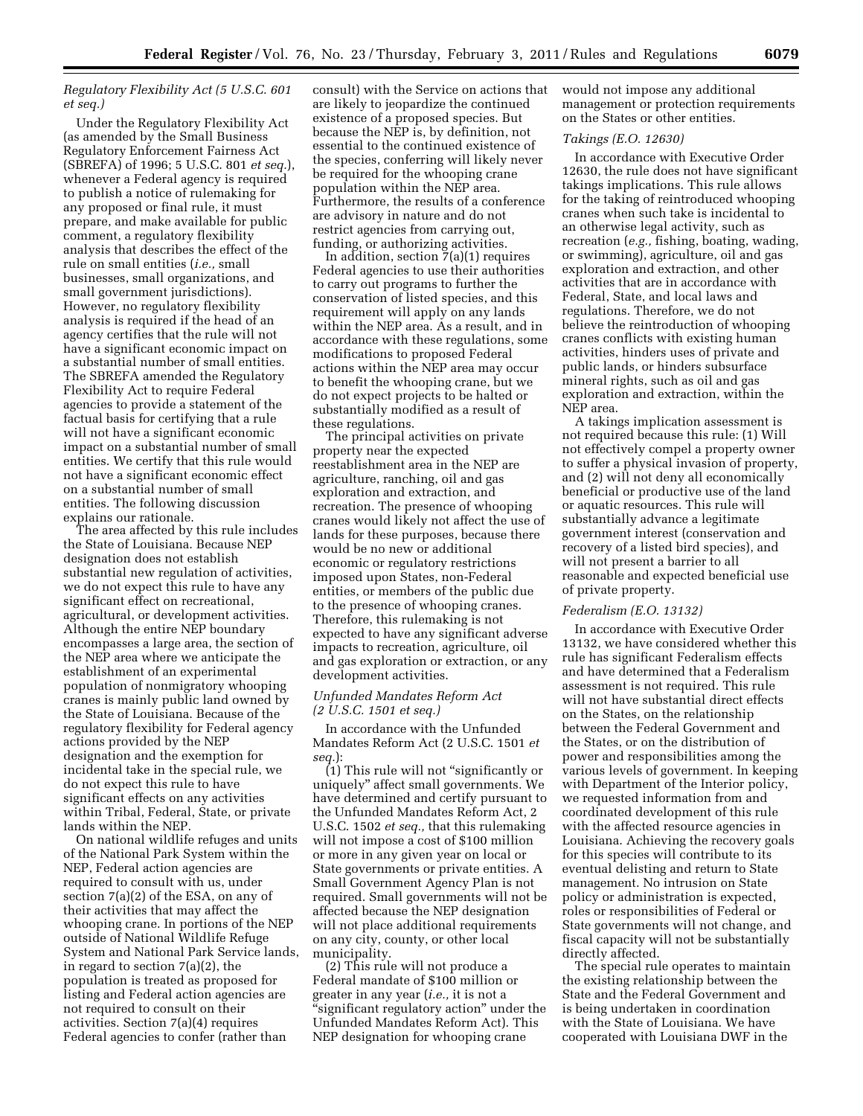# *Regulatory Flexibility Act (5 U.S.C. 601 et seq.)*

Under the Regulatory Flexibility Act (as amended by the Small Business Regulatory Enforcement Fairness Act (SBREFA) of 1996; 5 U.S.C. 801 *et seq.*), whenever a Federal agency is required to publish a notice of rulemaking for any proposed or final rule, it must prepare, and make available for public comment, a regulatory flexibility analysis that describes the effect of the rule on small entities (*i.e.,* small businesses, small organizations, and small government jurisdictions). However, no regulatory flexibility analysis is required if the head of an agency certifies that the rule will not have a significant economic impact on a substantial number of small entities. The SBREFA amended the Regulatory Flexibility Act to require Federal agencies to provide a statement of the factual basis for certifying that a rule will not have a significant economic impact on a substantial number of small entities. We certify that this rule would not have a significant economic effect on a substantial number of small entities. The following discussion explains our rationale.

The area affected by this rule includes the State of Louisiana. Because NEP designation does not establish substantial new regulation of activities, we do not expect this rule to have any significant effect on recreational, agricultural, or development activities. Although the entire NEP boundary encompasses a large area, the section of the NEP area where we anticipate the establishment of an experimental population of nonmigratory whooping cranes is mainly public land owned by the State of Louisiana. Because of the regulatory flexibility for Federal agency actions provided by the NEP designation and the exemption for incidental take in the special rule, we do not expect this rule to have significant effects on any activities within Tribal, Federal, State, or private lands within the NEP.

On national wildlife refuges and units of the National Park System within the NEP, Federal action agencies are required to consult with us, under section 7(a)(2) of the ESA, on any of their activities that may affect the whooping crane. In portions of the NEP outside of National Wildlife Refuge System and National Park Service lands, in regard to section 7(a)(2), the population is treated as proposed for listing and Federal action agencies are not required to consult on their activities. Section 7(a)(4) requires Federal agencies to confer (rather than

consult) with the Service on actions that are likely to jeopardize the continued existence of a proposed species. But because the NEP is, by definition, not essential to the continued existence of the species, conferring will likely never be required for the whooping crane population within the NEP area. Furthermore, the results of a conference are advisory in nature and do not restrict agencies from carrying out, funding, or authorizing activities.

In addition, section  $\bar{7}(a)(1)$  requires Federal agencies to use their authorities to carry out programs to further the conservation of listed species, and this requirement will apply on any lands within the NEP area. As a result, and in accordance with these regulations, some modifications to proposed Federal actions within the NEP area may occur to benefit the whooping crane, but we do not expect projects to be halted or substantially modified as a result of these regulations.

The principal activities on private property near the expected reestablishment area in the NEP are agriculture, ranching, oil and gas exploration and extraction, and recreation. The presence of whooping cranes would likely not affect the use of lands for these purposes, because there would be no new or additional economic or regulatory restrictions imposed upon States, non-Federal entities, or members of the public due to the presence of whooping cranes. Therefore, this rulemaking is not expected to have any significant adverse impacts to recreation, agriculture, oil and gas exploration or extraction, or any development activities.

# *Unfunded Mandates Reform Act (2 U.S.C. 1501 et seq.)*

In accordance with the Unfunded Mandates Reform Act (2 U.S.C. 1501 *et seq.*):

 $(1)$  This rule will not "significantly or uniquely'' affect small governments. We have determined and certify pursuant to the Unfunded Mandates Reform Act, 2 U.S.C. 1502 *et seq.,* that this rulemaking will not impose a cost of \$100 million or more in any given year on local or State governments or private entities. A Small Government Agency Plan is not required. Small governments will not be affected because the NEP designation will not place additional requirements on any city, county, or other local municipality.

(2) This rule will not produce a Federal mandate of \$100 million or greater in any year (*i.e.,* it is not a ''significant regulatory action'' under the Unfunded Mandates Reform Act). This NEP designation for whooping crane

would not impose any additional management or protection requirements on the States or other entities.

# *Takings (E.O. 12630)*

In accordance with Executive Order 12630, the rule does not have significant takings implications. This rule allows for the taking of reintroduced whooping cranes when such take is incidental to an otherwise legal activity, such as recreation (*e.g.,* fishing, boating, wading, or swimming), agriculture, oil and gas exploration and extraction, and other activities that are in accordance with Federal, State, and local laws and regulations. Therefore, we do not believe the reintroduction of whooping cranes conflicts with existing human activities, hinders uses of private and public lands, or hinders subsurface mineral rights, such as oil and gas exploration and extraction, within the NEP area.

A takings implication assessment is not required because this rule: (1) Will not effectively compel a property owner to suffer a physical invasion of property, and (2) will not deny all economically beneficial or productive use of the land or aquatic resources. This rule will substantially advance a legitimate government interest (conservation and recovery of a listed bird species), and will not present a barrier to all reasonable and expected beneficial use of private property.

# *Federalism (E.O. 13132)*

In accordance with Executive Order 13132, we have considered whether this rule has significant Federalism effects and have determined that a Federalism assessment is not required. This rule will not have substantial direct effects on the States, on the relationship between the Federal Government and the States, or on the distribution of power and responsibilities among the various levels of government. In keeping with Department of the Interior policy, we requested information from and coordinated development of this rule with the affected resource agencies in Louisiana. Achieving the recovery goals for this species will contribute to its eventual delisting and return to State management. No intrusion on State policy or administration is expected, roles or responsibilities of Federal or State governments will not change, and fiscal capacity will not be substantially directly affected.

The special rule operates to maintain the existing relationship between the State and the Federal Government and is being undertaken in coordination with the State of Louisiana. We have cooperated with Louisiana DWF in the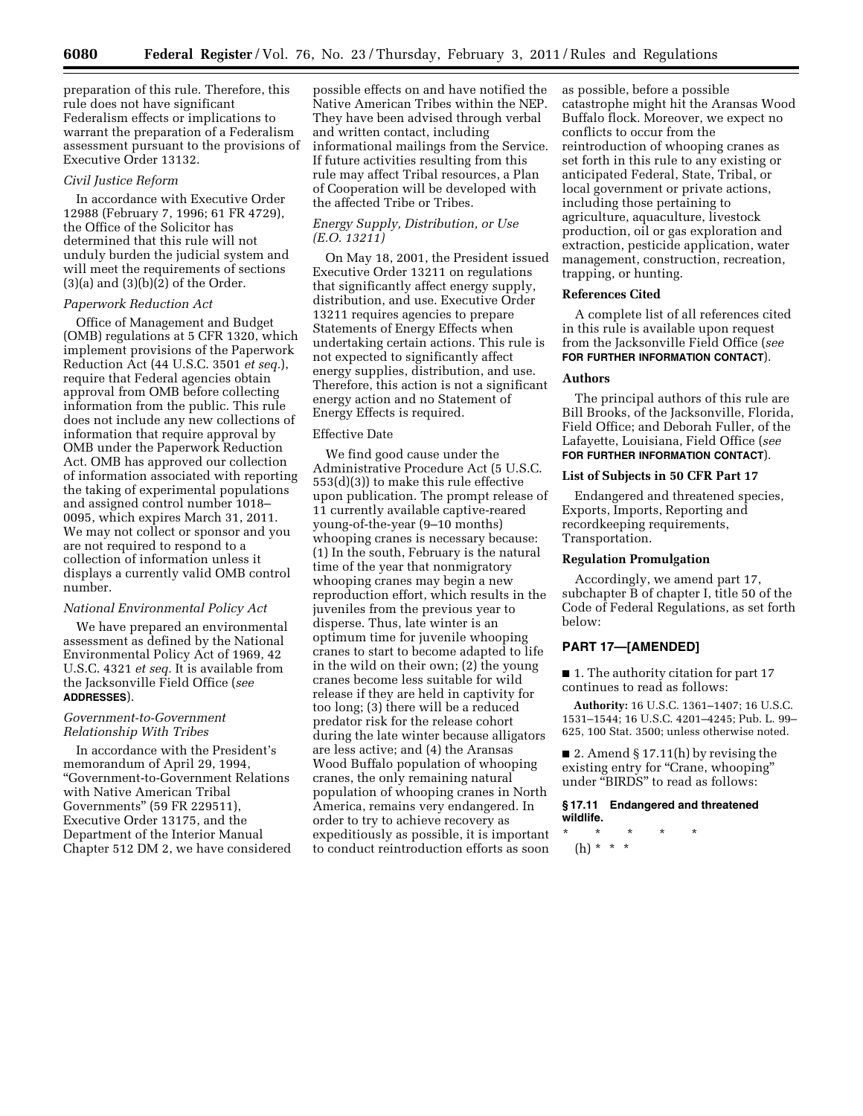preparation of this rule. Therefore, this rule does not have significant Federalism effects or implications to warrant the preparation of a Federalism assessment pursuant to the provisions of Executive Order 13132.

#### *Civil Justice Reform*

In accordance with Executive Order 12988 (February 7, 1996; 61 FR 4729), the Office of the Solicitor has determined that this rule will not unduly burden the judicial system and will meet the requirements of sections  $(3)(a)$  and  $(3)(b)(2)$  of the Order.

# *Paperwork Reduction Act*

Office of Management and Budget (OMB) regulations at 5 CFR 1320, which implement provisions of the Paperwork Reduction Act (44 U.S.C. 3501 *et seq.*), require that Federal agencies obtain approval from OMB before collecting information from the public. This rule does not include any new collections of information that require approval by OMB under the Paperwork Reduction Act. OMB has approved our collection of information associated with reporting the taking of experimental populations and assigned control number 1018– 0095, which expires March 31, 2011. We may not collect or sponsor and you are not required to respond to a collection of information unless it displays a currently valid OMB control number.

#### *National Environmental Policy Act*

We have prepared an environmental assessment as defined by the National Environmental Policy Act of 1969, 42 U.S.C. 4321 *et seq.* It is available from the Jacksonville Field Office (*see*  **ADDRESSES**).

### *Government-to-Government Relationship With Tribes*

In accordance with the President's memorandum of April 29, 1994, ''Government-to-Government Relations with Native American Tribal Governments'' (59 FR 229511), Executive Order 13175, and the Department of the Interior Manual Chapter 512 DM 2, we have considered

possible effects on and have notified the Native American Tribes within the NEP. They have been advised through verbal and written contact, including informational mailings from the Service. If future activities resulting from this rule may affect Tribal resources, a Plan of Cooperation will be developed with the affected Tribe or Tribes.

# *Energy Supply, Distribution, or Use (E.O. 13211)*

On May 18, 2001, the President issued Executive Order 13211 on regulations that significantly affect energy supply, distribution, and use. Executive Order 13211 requires agencies to prepare Statements of Energy Effects when undertaking certain actions. This rule is not expected to significantly affect energy supplies, distribution, and use. Therefore, this action is not a significant energy action and no Statement of Energy Effects is required.

# Effective Date

We find good cause under the Administrative Procedure Act (5 U.S.C. 553(d)(3)) to make this rule effective upon publication. The prompt release of 11 currently available captive-reared young-of-the-year (9–10 months) whooping cranes is necessary because: (1) In the south, February is the natural time of the year that nonmigratory whooping cranes may begin a new reproduction effort, which results in the juveniles from the previous year to disperse. Thus, late winter is an optimum time for juvenile whooping cranes to start to become adapted to life in the wild on their own; (2) the young cranes become less suitable for wild release if they are held in captivity for too long; (3) there will be a reduced predator risk for the release cohort during the late winter because alligators are less active; and (4) the Aransas Wood Buffalo population of whooping cranes, the only remaining natural population of whooping cranes in North America, remains very endangered. In order to try to achieve recovery as expeditiously as possible, it is important to conduct reintroduction efforts as soon

as possible, before a possible catastrophe might hit the Aransas Wood Buffalo flock. Moreover, we expect no conflicts to occur from the reintroduction of whooping cranes as set forth in this rule to any existing or anticipated Federal, State, Tribal, or local government or private actions, including those pertaining to agriculture, aquaculture, livestock production, oil or gas exploration and extraction, pesticide application, water management, construction, recreation, trapping, or hunting.

# **References Cited**

A complete list of all references cited in this rule is available upon request from the Jacksonville Field Office (*see*  **FOR FURTHER INFORMATION CONTACT**).

### **Authors**

The principal authors of this rule are Bill Brooks, of the Jacksonville, Florida, Field Office; and Deborah Fuller, of the Lafayette, Louisiana, Field Office (*see*  **FOR FURTHER INFORMATION CONTACT**).

# **List of Subjects in 50 CFR Part 17**

Endangered and threatened species, Exports, Imports, Reporting and recordkeeping requirements, Transportation.

# **Regulation Promulgation**

Accordingly, we amend part 17, subchapter B of chapter I, title 50 of the Code of Federal Regulations, as set forth below:

# **PART 17—[AMENDED]**

■ 1. The authority citation for part 17 continues to read as follows:

**Authority:** 16 U.S.C. 1361–1407; 16 U.S.C. 1531–1544; 16 U.S.C. 4201–4245; Pub. L. 99– 625, 100 Stat. 3500; unless otherwise noted.

■ 2. Amend § 17.11(h) by revising the existing entry for "Crane, whooping" under ''BIRDS'' to read as follows:

# **§ 17.11 Endangered and threatened wildlife.**

\* \* \* \* \* (h) \* \* \*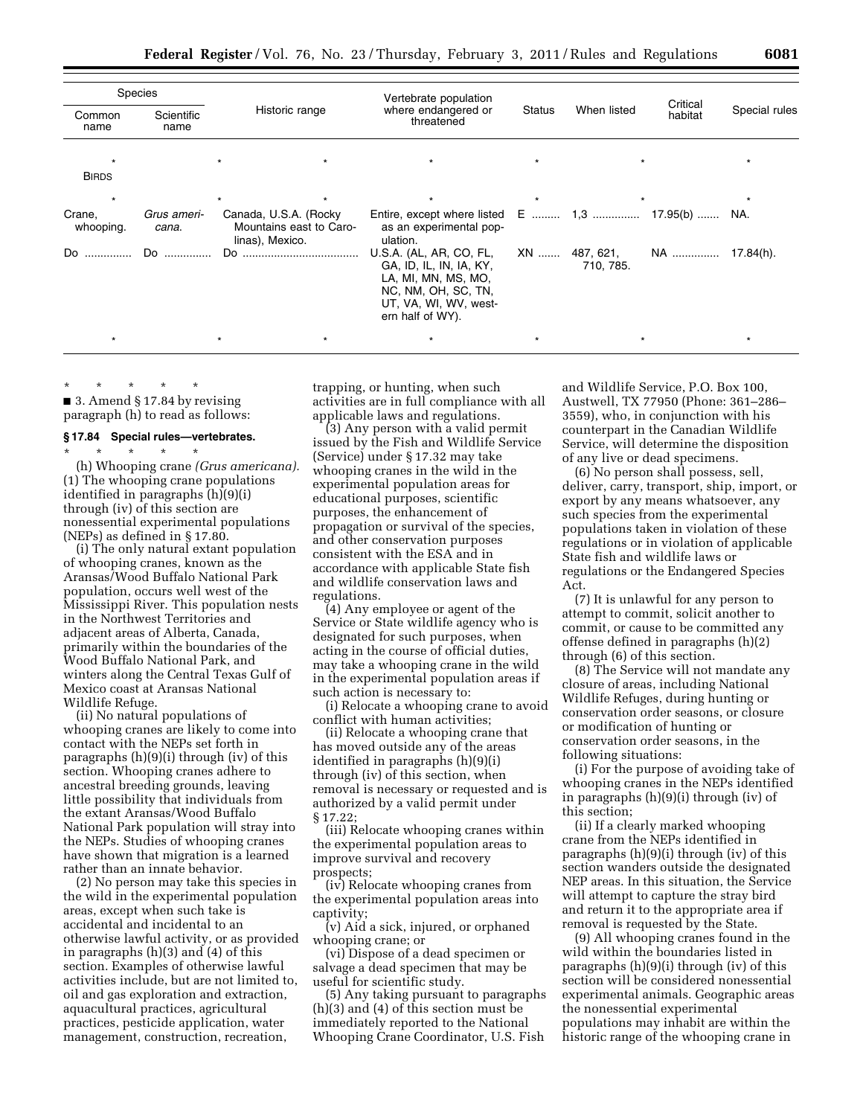| $\sim$ | $\sim$ | -- |
|--------|--------|----|
|        |        |    |

| Species             |                      |                                                                      | Vertebrate population                                                                                                                         |         |                            |                     |               |
|---------------------|----------------------|----------------------------------------------------------------------|-----------------------------------------------------------------------------------------------------------------------------------------------|---------|----------------------------|---------------------|---------------|
| Common<br>name      | Scientific<br>name   | Historic range                                                       | where endangered or<br>threatened                                                                                                             | Status  | When listed                | Critical<br>habitat | Special rules |
|                     |                      |                                                                      |                                                                                                                                               |         |                            |                     |               |
| <b>BIRDS</b>        |                      |                                                                      |                                                                                                                                               |         |                            |                     |               |
| $\star$             |                      |                                                                      | $\star$                                                                                                                                       | $\star$ |                            |                     |               |
| Crane,<br>whooping. | Grus ameri-<br>cana. | Canada, U.S.A. (Rocky)<br>Mountains east to Caro-<br>linas), Mexico. | Entire, except where listed $E$ 1,3<br>as an experimental pop-<br>ulation.                                                                    |         |                            | 17.95(b)  NA.       |               |
| Do<br>.             | Do                   |                                                                      | U.S.A. (AL, AR, CO, FL,<br>GA, ID, IL, IN, IA, KY,<br>LA, MI, MN, MS, MO,<br>NC, NM, OH, SC, TN,<br>UT, VA, WI, WV, west-<br>ern half of WY). |         | XN  487, 621,<br>710, 785. | NA ……………            | 17.84(h).     |
|                     |                      |                                                                      | $\star$                                                                                                                                       |         |                            |                     |               |

\* \* \* \* \*

■ 3. Amend § 17.84 by revising paragraph (h) to read as follows:

#### **§ 17.84 Special rules—vertebrates.**

\* \* \* \* \* (h) Whooping crane *(Grus americana).*  (1) The whooping crane populations identified in paragraphs (h)(9)(i) through (iv) of this section are nonessential experimental populations (NEPs) as defined in § 17.80.

(i) The only natural extant population of whooping cranes, known as the Aransas/Wood Buffalo National Park population, occurs well west of the Mississippi River. This population nests in the Northwest Territories and adjacent areas of Alberta, Canada, primarily within the boundaries of the Wood Buffalo National Park, and winters along the Central Texas Gulf of Mexico coast at Aransas National Wildlife Refuge.

(ii) No natural populations of whooping cranes are likely to come into contact with the NEPs set forth in paragraphs (h)(9)(i) through (iv) of this section. Whooping cranes adhere to ancestral breeding grounds, leaving little possibility that individuals from the extant Aransas/Wood Buffalo National Park population will stray into the NEPs. Studies of whooping cranes have shown that migration is a learned rather than an innate behavior.

(2) No person may take this species in the wild in the experimental population areas, except when such take is accidental and incidental to an otherwise lawful activity, or as provided in paragraphs (h)(3) and (4) of this section. Examples of otherwise lawful activities include, but are not limited to, oil and gas exploration and extraction, aquacultural practices, agricultural practices, pesticide application, water management, construction, recreation,

trapping, or hunting, when such activities are in full compliance with all applicable laws and regulations.

(3) Any person with a valid permit issued by the Fish and Wildlife Service (Service) under § 17.32 may take whooping cranes in the wild in the experimental population areas for educational purposes, scientific purposes, the enhancement of propagation or survival of the species, and other conservation purposes consistent with the ESA and in accordance with applicable State fish and wildlife conservation laws and regulations.

(4) Any employee or agent of the Service or State wildlife agency who is designated for such purposes, when acting in the course of official duties, may take a whooping crane in the wild in the experimental population areas if such action is necessary to:

(i) Relocate a whooping crane to avoid conflict with human activities;

(ii) Relocate a whooping crane that has moved outside any of the areas identified in paragraphs (h)(9)(i) through (iv) of this section, when removal is necessary or requested and is authorized by a valid permit under § 17.22;

(iii) Relocate whooping cranes within the experimental population areas to improve survival and recovery prospects;

(iv) Relocate whooping cranes from the experimental population areas into captivity;

(v) Aid a sick, injured, or orphaned whooping crane; or

(vi) Dispose of a dead specimen or salvage a dead specimen that may be useful for scientific study.

(5) Any taking pursuant to paragraphs (h)(3) and (4) of this section must be immediately reported to the National Whooping Crane Coordinator, U.S. Fish

and Wildlife Service, P.O. Box 100, Austwell, TX 77950 (Phone: 361–286– 3559), who, in conjunction with his counterpart in the Canadian Wildlife Service, will determine the disposition of any live or dead specimens.

(6) No person shall possess, sell, deliver, carry, transport, ship, import, or export by any means whatsoever, any such species from the experimental populations taken in violation of these regulations or in violation of applicable State fish and wildlife laws or regulations or the Endangered Species Act.

(7) It is unlawful for any person to attempt to commit, solicit another to commit, or cause to be committed any offense defined in paragraphs (h)(2) through (6) of this section.

(8) The Service will not mandate any closure of areas, including National Wildlife Refuges, during hunting or conservation order seasons, or closure or modification of hunting or conservation order seasons, in the following situations:

(i) For the purpose of avoiding take of whooping cranes in the NEPs identified in paragraphs (h)(9)(i) through (iv) of this section;

(ii) If a clearly marked whooping crane from the NEPs identified in paragraphs (h)(9)(i) through (iv) of this section wanders outside the designated NEP areas. In this situation, the Service will attempt to capture the stray bird and return it to the appropriate area if removal is requested by the State.

(9) All whooping cranes found in the wild within the boundaries listed in paragraphs (h)(9)(i) through (iv) of this section will be considered nonessential experimental animals. Geographic areas the nonessential experimental populations may inhabit are within the historic range of the whooping crane in